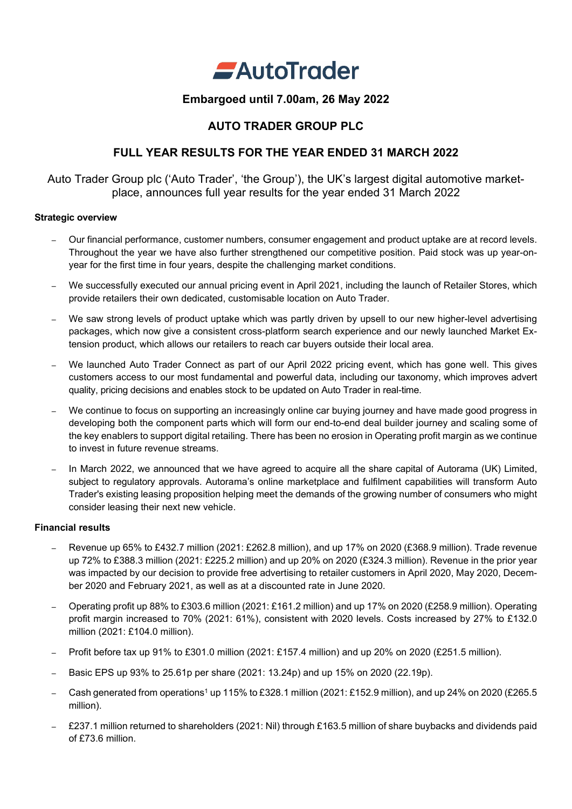

## **Embargoed until 7.00am, 26 May 2022**

## **AUTO TRADER GROUP PLC**

## **FULL YEAR RESULTS FOR THE YEAR ENDED 31 MARCH 2022**

Auto Trader Group plc ('Auto Trader', 'the Group'), the UK's largest digital automotive marketplace, announces full year results for the year ended 31 March 2022

### **Strategic overview**

- Our financial performance, customer numbers, consumer engagement and product uptake are at record levels. Throughout the year we have also further strengthened our competitive position. Paid stock was up year-onyear for the first time in four years, despite the challenging market conditions.
- We successfully executed our annual pricing event in April 2021, including the launch of Retailer Stores, which provide retailers their own dedicated, customisable location on Auto Trader.
- We saw strong levels of product uptake which was partly driven by upsell to our new higher-level advertising packages, which now give a consistent cross-platform search experience and our newly launched Market Extension product, which allows our retailers to reach car buyers outside their local area.
- We launched Auto Trader Connect as part of our April 2022 pricing event, which has gone well. This gives customers access to our most fundamental and powerful data, including our taxonomy, which improves advert quality, pricing decisions and enables stock to be updated on Auto Trader in real-time.
- We continue to focus on supporting an increasingly online car buying journey and have made good progress in developing both the component parts which will form our end-to-end deal builder journey and scaling some of the key enablers to support digital retailing. There has been no erosion in Operating profit margin as we continue to invest in future revenue streams.
- In March 2022, we announced that we have agreed to acquire all the share capital of Autorama (UK) Limited, subject to regulatory approvals. Autorama's online marketplace and fulfilment capabilities will transform Auto Trader's existing leasing proposition helping meet the demands of the growing number of consumers who might consider leasing their next new vehicle.

### **Financial results**

- Revenue up 65% to £432.7 million (2021: £262.8 million), and up 17% on 2020 (£368.9 million). Trade revenue up 72% to £388.3 million (2021: £225.2 million) and up 20% on 2020 (£324.3 million). Revenue in the prior year was impacted by our decision to provide free advertising to retailer customers in April 2020, May 2020, December 2020 and February 2021, as well as at a discounted rate in June 2020.
- Operating profit up 88% to £303.6 million (2021: £161.2 million) and up 17% on 2020 (£258.9 million). Operating profit margin increased to 70% (2021: 61%), consistent with 2020 levels. Costs increased by 27% to £132.0 million (2021: £104.0 million).
- Profit before tax up 91% to £301.0 million (2021: £157.4 million) and up 20% on 2020 (£251.5 million).
- Basic EPS up 93% to 25.61p per share (2021: 13.24p) and up 15% on 2020 (22.19p).
- Cash generated from operations<sup>1</sup> up 115% to £328.1 million (2021: £152.9 million), and up 24% on 2020 (£265.5 million).
- £237.1 million returned to shareholders (2021: Nil) through £163.5 million of share buybacks and dividends paid of £73.6 million.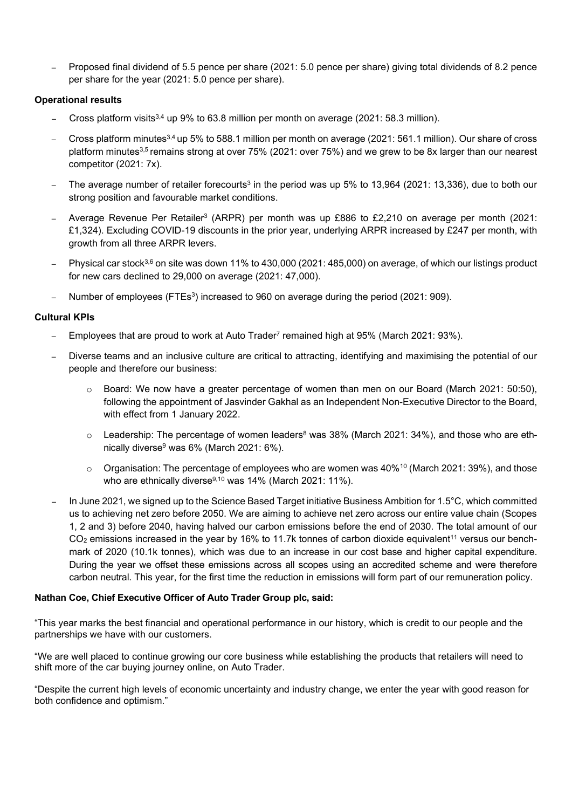– Proposed final dividend of 5.5 pence per share (2021: 5.0 pence per share) giving total dividends of 8.2 pence per share for the year (2021: 5.0 pence per share).

## **Operational results**

- Cross platform visits<sup>3,4</sup> up 9% to 63.8 million per month on average (2021: 58.3 million).
- Cross platform minutes3,4 up 5% to 588.1 million per month on average (2021: 561.1 million). Our share of cross platform minutes<sup>3,5</sup> remains strong at over 75% (2021: over 75%) and we grew to be 8x larger than our nearest competitor (2021: 7x).
- The average number of retailer forecourts<sup>3</sup> in the period was up 5% to 13,964 (2021: 13,336), due to both our strong position and favourable market conditions.
- Average Revenue Per Retailer3 (ARPR) per month was up £886 to £2,210 on average per month (2021: £1,324). Excluding COVID-19 discounts in the prior year, underlying ARPR increased by £247 per month, with growth from all three ARPR levers.
- Physical car stock3,6 on site was down 11% to 430,000 (2021: 485,000) on average, of which our listings product for new cars declined to 29,000 on average (2021: 47,000).
- Number of employees (FTEs3) increased to 960 on average during the period (2021: 909).

## **Cultural KPIs**

- Employees that are proud to work at Auto Trader<sup>7</sup> remained high at 95% (March 2021: 93%).
- Diverse teams and an inclusive culture are critical to attracting, identifying and maximising the potential of our people and therefore our business:
	- o Board: We now have a greater percentage of women than men on our Board (March 2021: 50:50), following the appointment of Jasvinder Gakhal as an Independent Non-Executive Director to the Board, with effect from 1 January 2022.
	- $\circ$  Leadership: The percentage of women leaders<sup>8</sup> was 38% (March 2021: 34%), and those who are ethnically diverse<sup>9</sup> was 6% (March 2021: 6%).
	- o Organisation: The percentage of employees who are women was 40%10 (March 2021: 39%), and those who are ethnically diverse<sup>9,10</sup> was 14% (March 2021: 11%).
- In June 2021, we signed up to the Science Based Target initiative Business Ambition for 1.5°C, which committed us to achieving net zero before 2050. We are aiming to achieve net zero across our entire value chain (Scopes 1, 2 and 3) before 2040, having halved our carbon emissions before the end of 2030. The total amount of our  $CO<sub>2</sub>$  emissions increased in the year by 16% to 11.7k tonnes of carbon dioxide equivalent<sup>11</sup> versus our benchmark of 2020 (10.1k tonnes), which was due to an increase in our cost base and higher capital expenditure. During the year we offset these emissions across all scopes using an accredited scheme and were therefore carbon neutral. This year, for the first time the reduction in emissions will form part of our remuneration policy.

### **Nathan Coe, Chief Executive Officer of Auto Trader Group plc, said:**

"This year marks the best financial and operational performance in our history, which is credit to our people and the partnerships we have with our customers.

"We are well placed to continue growing our core business while establishing the products that retailers will need to shift more of the car buying journey online, on Auto Trader.

"Despite the current high levels of economic uncertainty and industry change, we enter the year with good reason for both confidence and optimism."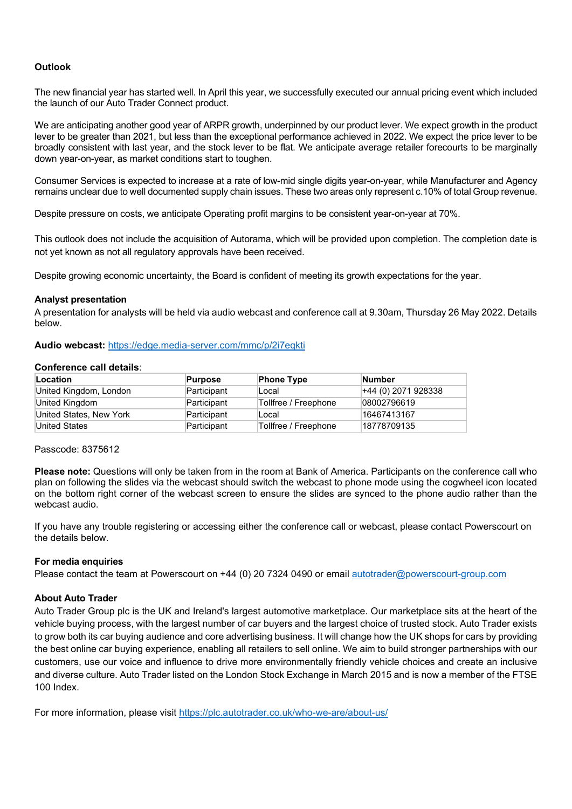### **Outlook**

The new financial year has started well. In April this year, we successfully executed our annual pricing event which included the launch of our Auto Trader Connect product.

We are anticipating another good year of ARPR growth, underpinned by our product lever. We expect growth in the product lever to be greater than 2021, but less than the exceptional performance achieved in 2022. We expect the price lever to be broadly consistent with last year, and the stock lever to be flat. We anticipate average retailer forecourts to be marginally down year-on-year, as market conditions start to toughen.

Consumer Services is expected to increase at a rate of low-mid single digits year-on-year, while Manufacturer and Agency remains unclear due to well documented supply chain issues. These two areas only represent c.10% of total Group revenue.

Despite pressure on costs, we anticipate Operating profit margins to be consistent year-on-year at 70%.

This outlook does not include the acquisition of Autorama, which will be provided upon completion. The completion date is not yet known as not all regulatory approvals have been received.

Despite growing economic uncertainty, the Board is confident of meeting its growth expectations for the year.

### **Analyst presentation**

A presentation for analysts will be held via audio webcast and conference call at 9.30am, Thursday 26 May 2022. Details below.

**Audio webcast:** https://edge.media-server.com/mmc/p/2i7eqkti

#### **Conference call details**:

| Location                | <b>Purpose</b> | <b>Phone Type</b>    | <b>Number</b>       |
|-------------------------|----------------|----------------------|---------------------|
| United Kingdom, London  | Participant    | Local                | +44 (0) 2071 928338 |
| United Kingdom          | Participant    | Tollfree / Freephone | 08002796619         |
| United States, New York | Participant    | Local                | 16467413167         |
| <b>United States</b>    | Participant    | Tollfree / Freephone | 18778709135         |

#### Passcode: 8375612

**Please note:** Questions will only be taken from in the room at Bank of America. Participants on the conference call who plan on following the slides via the webcast should switch the webcast to phone mode using the cogwheel icon located on the bottom right corner of the webcast screen to ensure the slides are synced to the phone audio rather than the webcast audio.

If you have any trouble registering or accessing either the conference call or webcast, please contact Powerscourt on the details below.

### **For media enquiries**

Please contact the team at Powerscourt on +44 (0) 20 7324 0490 or email [autotrader@powerscourt-group.com](mailto:autotrader@powerscourt-group.com) 

#### **About Auto Trader**

Auto Trader Group plc is the UK and Ireland's largest automotive marketplace. Our marketplace sits at the heart of the vehicle buying process, with the largest number of car buyers and the largest choice of trusted stock. Auto Trader exists to grow both its car buying audience and core advertising business. It will change how the UK shops for cars by providing the best online car buying experience, enabling all retailers to sell online. We aim to build stronger partnerships with our customers, use our voice and influence to drive more environmentally friendly vehicle choices and create an inclusive and diverse culture. Auto Trader listed on the London Stock Exchange in March 2015 and is now a member of the FTSE 100 Index.

For more information, please visit<https://plc.autotrader.co.uk/who-we-are/about-us/>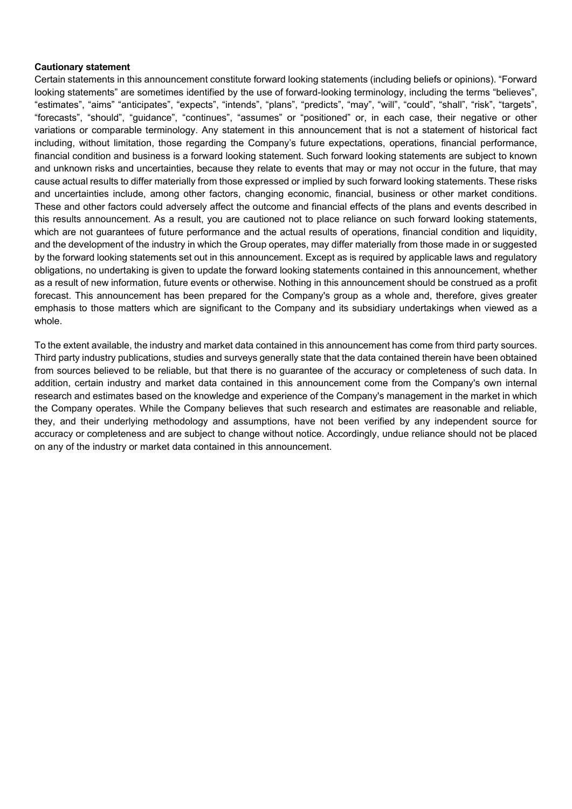#### **Cautionary statement**

Certain statements in this announcement constitute forward looking statements (including beliefs or opinions). "Forward looking statements" are sometimes identified by the use of forward-looking terminology, including the terms "believes", "estimates", "aims" "anticipates", "expects", "intends", "plans", "predicts", "may", "will", "could", "shall", "risk", "targets", "forecasts", "should", "guidance", "continues", "assumes" or "positioned" or, in each case, their negative or other variations or comparable terminology. Any statement in this announcement that is not a statement of historical fact including, without limitation, those regarding the Company's future expectations, operations, financial performance, financial condition and business is a forward looking statement. Such forward looking statements are subject to known and unknown risks and uncertainties, because they relate to events that may or may not occur in the future, that may cause actual results to differ materially from those expressed or implied by such forward looking statements. These risks and uncertainties include, among other factors, changing economic, financial, business or other market conditions. These and other factors could adversely affect the outcome and financial effects of the plans and events described in this results announcement. As a result, you are cautioned not to place reliance on such forward looking statements, which are not guarantees of future performance and the actual results of operations, financial condition and liquidity, and the development of the industry in which the Group operates, may differ materially from those made in or suggested by the forward looking statements set out in this announcement. Except as is required by applicable laws and regulatory obligations, no undertaking is given to update the forward looking statements contained in this announcement, whether as a result of new information, future events or otherwise. Nothing in this announcement should be construed as a profit forecast. This announcement has been prepared for the Company's group as a whole and, therefore, gives greater emphasis to those matters which are significant to the Company and its subsidiary undertakings when viewed as a whole.

To the extent available, the industry and market data contained in this announcement has come from third party sources. Third party industry publications, studies and surveys generally state that the data contained therein have been obtained from sources believed to be reliable, but that there is no guarantee of the accuracy or completeness of such data. In addition, certain industry and market data contained in this announcement come from the Company's own internal research and estimates based on the knowledge and experience of the Company's management in the market in which the Company operates. While the Company believes that such research and estimates are reasonable and reliable, they, and their underlying methodology and assumptions, have not been verified by any independent source for accuracy or completeness and are subject to change without notice. Accordingly, undue reliance should not be placed on any of the industry or market data contained in this announcement.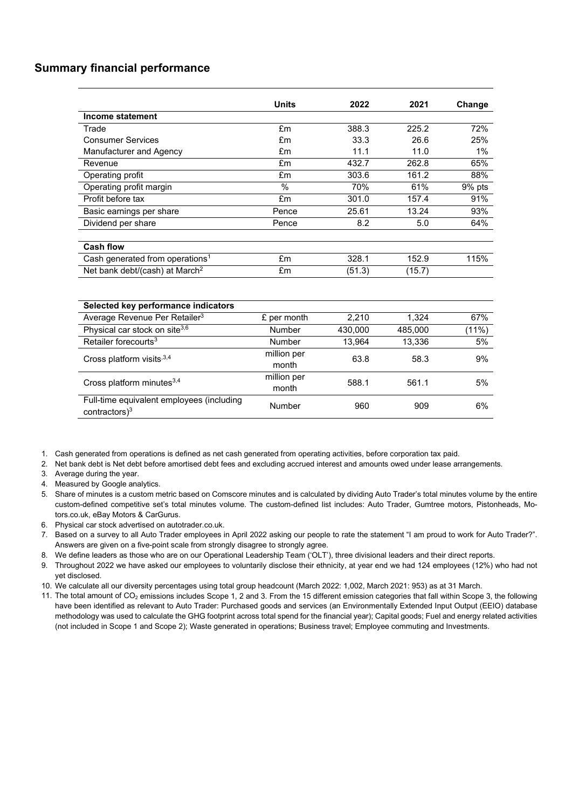## **Summary financial performance**

|                                             | <b>Units</b>                       | 2022    | 2021    | Change        |  |
|---------------------------------------------|------------------------------------|---------|---------|---------------|--|
| Income statement                            |                                    |         |         |               |  |
| Trade                                       | £m                                 | 388.3   | 225.2   | 72%           |  |
| <b>Consumer Services</b>                    | £m                                 | 33.3    | 26.6    | 25%           |  |
| Manufacturer and Agency                     | £m                                 | 11.1    | 11.0    | 1%            |  |
| Revenue                                     | £m                                 | 432.7   | 262.8   | 65%           |  |
| Operating profit                            | £m                                 | 303.6   | 161.2   | 88%           |  |
| Operating profit margin                     | $\%$                               | 70%     | 61%     | 9% pts        |  |
| Profit before tax                           | £m                                 | 301.0   | 157.4   | 91%           |  |
| Basic earnings per share                    | Pence                              | 25.61   | 13.24   | 93%           |  |
| Dividend per share                          | Pence                              | 8.2     | 5.0     | 64%           |  |
|                                             |                                    |         |         |               |  |
| <b>Cash flow</b>                            |                                    |         |         |               |  |
| Cash generated from operations <sup>1</sup> | £m                                 | 328.1   | 152.9   | 115%          |  |
| Net bank debt/(cash) at March <sup>2</sup>  | £m                                 | (51.3)  | (15.7)  |               |  |
|                                             |                                    |         |         |               |  |
| Selected key performance indicators         |                                    |         |         |               |  |
| Average Revenue Per Retailer <sup>3</sup>   | £ per month                        | 2,210   | 1,324   | 67%           |  |
| Physical car stock on site <sup>3,6</sup>   | Number                             | 430.000 | 485,000 | (11%)         |  |
| Retailer forecourts <sup>3</sup>            | <b>Number</b>                      | 13.964  | 13.336  | 5%            |  |
| Cross platform visits, 3,4                  | million per                        | 63.8    | 58.3    | 9%            |  |
|                                             | month                              |         |         |               |  |
| Cross platform minutes <sup>3,4</sup>       | million per                        | 588.1   | 561.1   | 5%            |  |
|                                             | month                              |         |         |               |  |
| Full-time equivalent employees (including   | <b>Note that the second second</b> | $\sim$  | $\sim$  | $\sim$ $\sim$ |  |

1. Cash generated from operations is defined as net cash generated from operating activities, before corporation tax paid.

2. Net bank debt is Net debt before amortised debt fees and excluding accrued interest and amounts owed under lease arrangements.

- 3. Average during the year.
- 4. Measured by Google analytics.

5. Share of minutes is a custom metric based on Comscore minutes and is calculated by dividing Auto Trader's total minutes volume by the entire custom-defined competitive set's total minutes volume. The custom-defined list includes: Auto Trader, Gumtree motors, Pistonheads, Motors.co.uk, eBay Motors & CarGurus.

contractors)<sup>3</sup> **Contractors** Contractors<sup>3</sup> **Contractors 909** 6%

6. Physical car stock advertised on autotrader.co.uk.

7. Based on a survey to all Auto Trader employees in April 2022 asking our people to rate the statement "I am proud to work for Auto Trader?". Answers are given on a five-point scale from strongly disagree to strongly agree.

- 8. We define leaders as those who are on our Operational Leadership Team ('OLT'), three divisional leaders and their direct reports.
- 9. Throughout 2022 we have asked our employees to voluntarily disclose their ethnicity, at year end we had 124 employees (12%) who had not yet disclosed.

10. We calculate all our diversity percentages using total group headcount (March 2022: 1,002, March 2021: 953) as at 31 March.

11. The total amount of CO<sub>2</sub> emissions includes Scope 1, 2 and 3. From the 15 different emission categories that fall within Scope 3, the following have been identified as relevant to Auto Trader: Purchased goods and services (an Environmentally Extended Input Output (EEIO) database methodology was used to calculate the GHG footprint across total spend for the financial year); Capital goods; Fuel and energy related activities (not included in Scope 1 and Scope 2); Waste generated in operations; Business travel; Employee commuting and Investments.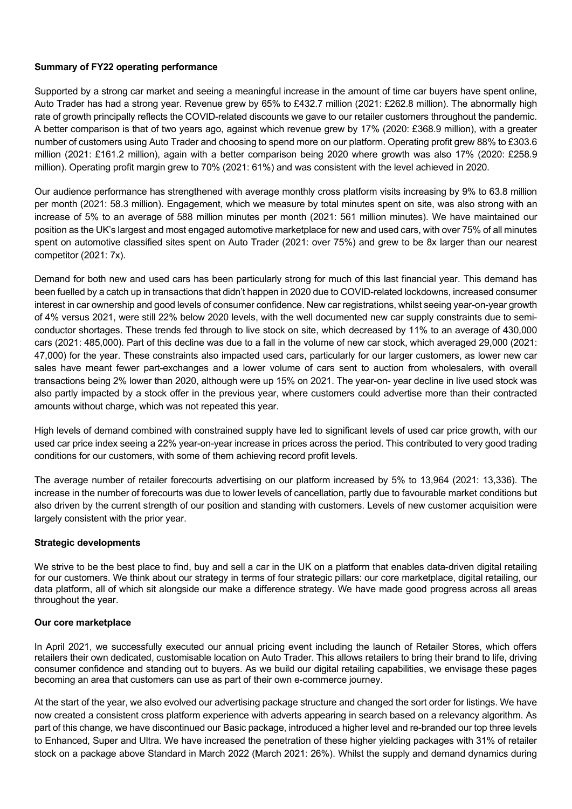### **Summary of FY22 operating performance**

Supported by a strong car market and seeing a meaningful increase in the amount of time car buyers have spent online, Auto Trader has had a strong year. Revenue grew by 65% to £432.7 million (2021: £262.8 million). The abnormally high rate of growth principally reflects the COVID-related discounts we gave to our retailer customers throughout the pandemic. A better comparison is that of two years ago, against which revenue grew by 17% (2020: £368.9 million), with a greater number of customers using Auto Trader and choosing to spend more on our platform. Operating profit grew 88% to £303.6 million (2021: £161.2 million), again with a better comparison being 2020 where growth was also 17% (2020: £258.9 million). Operating profit margin grew to 70% (2021: 61%) and was consistent with the level achieved in 2020.

Our audience performance has strengthened with average monthly cross platform visits increasing by 9% to 63.8 million per month (2021: 58.3 million). Engagement, which we measure by total minutes spent on site, was also strong with an increase of 5% to an average of 588 million minutes per month (2021: 561 million minutes). We have maintained our position as the UK's largest and most engaged automotive marketplace for new and used cars, with over 75% of all minutes spent on automotive classified sites spent on Auto Trader (2021: over 75%) and grew to be 8x larger than our nearest competitor (2021: 7x).

Demand for both new and used cars has been particularly strong for much of this last financial year. This demand has been fuelled by a catch up in transactions that didn't happen in 2020 due to COVID-related lockdowns, increased consumer interest in car ownership and good levels of consumer confidence. New car registrations, whilst seeing year-on-year growth of 4% versus 2021, were still 22% below 2020 levels, with the well documented new car supply constraints due to semiconductor shortages. These trends fed through to live stock on site, which decreased by 11% to an average of 430,000 cars (2021: 485,000). Part of this decline was due to a fall in the volume of new car stock, which averaged 29,000 (2021: 47,000) for the year. These constraints also impacted used cars, particularly for our larger customers, as lower new car sales have meant fewer part-exchanges and a lower volume of cars sent to auction from wholesalers, with overall transactions being 2% lower than 2020, although were up 15% on 2021. The year-on- year decline in live used stock was also partly impacted by a stock offer in the previous year, where customers could advertise more than their contracted amounts without charge, which was not repeated this year.

High levels of demand combined with constrained supply have led to significant levels of used car price growth, with our used car price index seeing a 22% year-on-year increase in prices across the period. This contributed to very good trading conditions for our customers, with some of them achieving record profit levels.

The average number of retailer forecourts advertising on our platform increased by 5% to 13,964 (2021: 13,336). The increase in the number of forecourts was due to lower levels of cancellation, partly due to favourable market conditions but also driven by the current strength of our position and standing with customers. Levels of new customer acquisition were largely consistent with the prior year.

### **Strategic developments**

We strive to be the best place to find, buy and sell a car in the UK on a platform that enables data-driven digital retailing for our customers. We think about our strategy in terms of four strategic pillars: our core marketplace, digital retailing, our data platform, all of which sit alongside our make a difference strategy. We have made good progress across all areas throughout the year.

### **Our core marketplace**

In April 2021, we successfully executed our annual pricing event including the launch of Retailer Stores, which offers retailers their own dedicated, customisable location on Auto Trader. This allows retailers to bring their brand to life, driving consumer confidence and standing out to buyers. As we build our digital retailing capabilities, we envisage these pages becoming an area that customers can use as part of their own e-commerce journey.

At the start of the year, we also evolved our advertising package structure and changed the sort order for listings. We have now created a consistent cross platform experience with adverts appearing in search based on a relevancy algorithm. As part of this change, we have discontinued our Basic package, introduced a higher level and re-branded our top three levels to Enhanced, Super and Ultra. We have increased the penetration of these higher yielding packages with 31% of retailer stock on a package above Standard in March 2022 (March 2021: 26%). Whilst the supply and demand dynamics during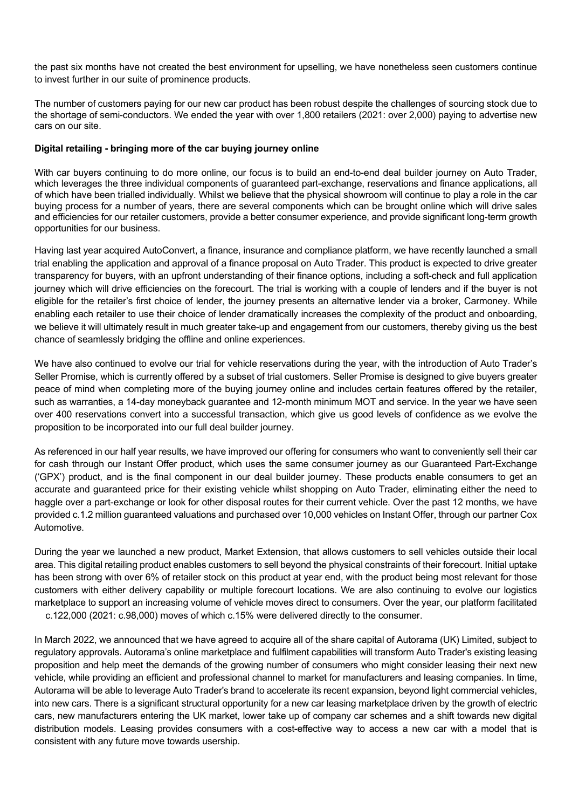the past six months have not created the best environment for upselling, we have nonetheless seen customers continue to invest further in our suite of prominence products.

The number of customers paying for our new car product has been robust despite the challenges of sourcing stock due to the shortage of semi-conductors. We ended the year with over 1,800 retailers (2021: over 2,000) paying to advertise new cars on our site.

### **Digital retailing - bringing more of the car buying journey online**

With car buyers continuing to do more online, our focus is to build an end-to-end deal builder journey on Auto Trader, which leverages the three individual components of guaranteed part-exchange, reservations and finance applications, all of which have been trialled individually. Whilst we believe that the physical showroom will continue to play a role in the car buying process for a number of years, there are several components which can be brought online which will drive sales and efficiencies for our retailer customers, provide a better consumer experience, and provide significant long-term growth opportunities for our business.

Having last year acquired AutoConvert, a finance, insurance and compliance platform, we have recently launched a small trial enabling the application and approval of a finance proposal on Auto Trader. This product is expected to drive greater transparency for buyers, with an upfront understanding of their finance options, including a soft-check and full application journey which will drive efficiencies on the forecourt. The trial is working with a couple of lenders and if the buyer is not eligible for the retailer's first choice of lender, the journey presents an alternative lender via a broker, Carmoney. While enabling each retailer to use their choice of lender dramatically increases the complexity of the product and onboarding, we believe it will ultimately result in much greater take-up and engagement from our customers, thereby giving us the best chance of seamlessly bridging the offline and online experiences.

We have also continued to evolve our trial for vehicle reservations during the year, with the introduction of Auto Trader's Seller Promise, which is currently offered by a subset of trial customers. Seller Promise is designed to give buyers greater peace of mind when completing more of the buying journey online and includes certain features offered by the retailer, such as warranties, a 14-day moneyback guarantee and 12-month minimum MOT and service. In the year we have seen over 400 reservations convert into a successful transaction, which give us good levels of confidence as we evolve the proposition to be incorporated into our full deal builder journey.

As referenced in our half year results, we have improved our offering for consumers who want to conveniently sell their car for cash through our Instant Offer product, which uses the same consumer journey as our Guaranteed Part-Exchange ('GPX') product, and is the final component in our deal builder journey. These products enable consumers to get an accurate and guaranteed price for their existing vehicle whilst shopping on Auto Trader, eliminating either the need to haggle over a part-exchange or look for other disposal routes for their current vehicle. Over the past 12 months, we have provided c.1.2 million guaranteed valuations and purchased over 10,000 vehicles on Instant Offer, through our partner Cox Automotive.

During the year we launched a new product, Market Extension, that allows customers to sell vehicles outside their local area. This digital retailing product enables customers to sell beyond the physical constraints of their forecourt. Initial uptake has been strong with over 6% of retailer stock on this product at year end, with the product being most relevant for those customers with either delivery capability or multiple forecourt locations. We are also continuing to evolve our logistics marketplace to support an increasing volume of vehicle moves direct to consumers. Over the year, our platform facilitated c.122,000 (2021: c.98,000) moves of which c.15% were delivered directly to the consumer.

In March 2022, we announced that we have agreed to acquire all of the share capital of Autorama (UK) Limited, subject to regulatory approvals. Autorama's online marketplace and fulfilment capabilities will transform Auto Trader's existing leasing proposition and help meet the demands of the growing number of consumers who might consider leasing their next new vehicle, while providing an efficient and professional channel to market for manufacturers and leasing companies. In time, Autorama will be able to leverage Auto Trader's brand to accelerate its recent expansion, beyond light commercial vehicles, into new cars. There is a significant structural opportunity for a new car leasing marketplace driven by the growth of electric cars, new manufacturers entering the UK market, lower take up of company car schemes and a shift towards new digital distribution models. Leasing provides consumers with a cost-effective way to access a new car with a model that is consistent with any future move towards usership.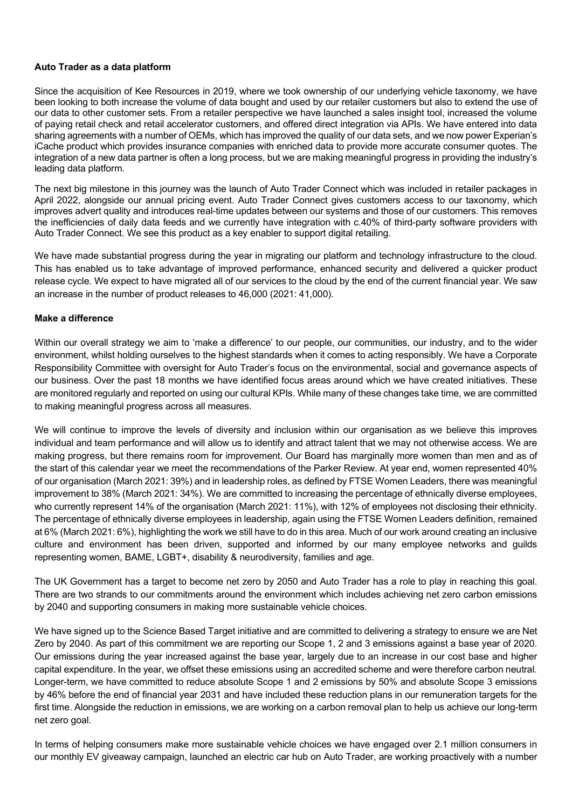### **Auto Trader as a data platform**

Since the acquisition of Kee Resources in 2019, where we took ownership of our underlying vehicle taxonomy, we have been looking to both increase the volume of data bought and used by our retailer customers but also to extend the use of our data to other customer sets. From a retailer perspective we have launched a sales insight tool, increased the volume of paying retail check and retail accelerator customers, and offered direct integration via APIs. We have entered into data sharing agreements with a number of OEMs, which has improved the quality of our data sets, and we now power Experian's iCache product which provides insurance companies with enriched data to provide more accurate consumer quotes. The integration of a new data partner is often a long process, but we are making meaningful progress in providing the industry's leading data platform.

The next big milestone in this journey was the launch of Auto Trader Connect which was included in retailer packages in April 2022, alongside our annual pricing event. Auto Trader Connect gives customers access to our taxonomy, which improves advert quality and introduces real-time updates between our systems and those of our customers. This removes the inefficiencies of daily data feeds and we currently have integration with c.40% of third-party software providers with Auto Trader Connect. We see this product as a key enabler to support digital retailing.

We have made substantial progress during the year in migrating our platform and technology infrastructure to the cloud. This has enabled us to take advantage of improved performance, enhanced security and delivered a quicker product release cycle. We expect to have migrated all of our services to the cloud by the end of the current financial year. We saw an increase in the number of product releases to 46,000 (2021: 41,000).

### **Make a difference**

Within our overall strategy we aim to 'make a difference' to our people, our communities, our industry, and to the wider environment, whilst holding ourselves to the highest standards when it comes to acting responsibly. We have a Corporate Responsibility Committee with oversight for Auto Trader's focus on the environmental, social and governance aspects of our business. Over the past 18 months we have identified focus areas around which we have created initiatives. These are monitored regularly and reported on using our cultural KPIs. While many of these changes take time, we are committed to making meaningful progress across all measures.

We will continue to improve the levels of diversity and inclusion within our organisation as we believe this improves individual and team performance and will allow us to identify and attract talent that we may not otherwise access. We are making progress, but there remains room for improvement. Our Board has marginally more women than men and as of the start of this calendar year we meet the recommendations of the Parker Review. At year end, women represented 40% of our organisation (March 2021: 39%) and in leadership roles, as defined by FTSE Women Leaders, there was meaningful improvement to 38% (March 2021: 34%). We are committed to increasing the percentage of ethnically diverse employees, who currently represent 14% of the organisation (March 2021: 11%), with 12% of employees not disclosing their ethnicity. The percentage of ethnically diverse employees in leadership, again using the FTSE Women Leaders definition, remained at 6% (March 2021: 6%), highlighting the work we still have to do in this area. Much of our work around creating an inclusive culture and environment has been driven, supported and informed by our many employee networks and guilds representing women, BAME, LGBT+, disability & neurodiversity, families and age.

The UK Government has a target to become net zero by 2050 and Auto Trader has a role to play in reaching this goal. There are two strands to our commitments around the environment which includes achieving net zero carbon emissions by 2040 and supporting consumers in making more sustainable vehicle choices.

We have signed up to the Science Based Target initiative and are committed to delivering a strategy to ensure we are Net Zero by 2040. As part of this commitment we are reporting our Scope 1, 2 and 3 emissions against a base year of 2020. Our emissions during the year increased against the base year, largely due to an increase in our cost base and higher capital expenditure. In the year, we offset these emissions using an accredited scheme and were therefore carbon neutral. Longer-term, we have committed to reduce absolute Scope 1 and 2 emissions by 50% and absolute Scope 3 emissions by 46% before the end of financial year 2031 and have included these reduction plans in our remuneration targets for the first time. Alongside the reduction in emissions, we are working on a carbon removal plan to help us achieve our long-term net zero goal.

In terms of helping consumers make more sustainable vehicle choices we have engaged over 2.1 million consumers in our monthly EV giveaway campaign, launched an electric car hub on Auto Trader, are working proactively with a number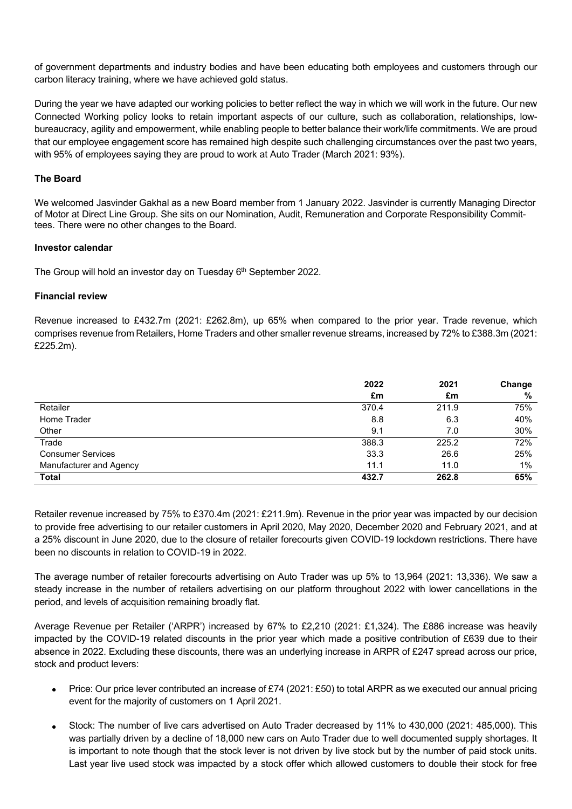of government departments and industry bodies and have been educating both employees and customers through our carbon literacy training, where we have achieved gold status.

During the year we have adapted our working policies to better reflect the way in which we will work in the future. Our new Connected Working policy looks to retain important aspects of our culture, such as collaboration, relationships, lowbureaucracy, agility and empowerment, while enabling people to better balance their work/life commitments. We are proud that our employee engagement score has remained high despite such challenging circumstances over the past two years, with 95% of employees saying they are proud to work at Auto Trader (March 2021: 93%).

### **The Board**

We welcomed Jasvinder Gakhal as a new Board member from 1 January 2022. Jasvinder is currently Managing Director of Motor at Direct Line Group. She sits on our Nomination, Audit, Remuneration and Corporate Responsibility Committees. There were no other changes to the Board.

### **Investor calendar**

The Group will hold an investor day on Tuesday 6<sup>th</sup> September 2022.

### **Financial review**

Revenue increased to £432.7m (2021: £262.8m), up 65% when compared to the prior year. Trade revenue, which comprises revenue from Retailers, Home Traders and other smaller revenue streams, increased by 72% to £388.3m (2021: £225.2m).

|                          | 2022  | 2021  | Change |
|--------------------------|-------|-------|--------|
|                          | £m    | £m    | %      |
| Retailer                 | 370.4 | 211.9 | 75%    |
| Home Trader              | 8.8   | 6.3   | 40%    |
| Other                    | 9.1   | 7.0   | 30%    |
| Trade                    | 388.3 | 225.2 | 72%    |
| <b>Consumer Services</b> | 33.3  | 26.6  | 25%    |
| Manufacturer and Agency  | 11.1  | 11.0  | 1%     |
| <b>Total</b>             | 432.7 | 262.8 | 65%    |

Retailer revenue increased by 75% to £370.4m (2021: £211.9m). Revenue in the prior year was impacted by our decision to provide free advertising to our retailer customers in April 2020, May 2020, December 2020 and February 2021, and at a 25% discount in June 2020, due to the closure of retailer forecourts given COVID-19 lockdown restrictions. There have been no discounts in relation to COVID-19 in 2022.

The average number of retailer forecourts advertising on Auto Trader was up 5% to 13,964 (2021: 13,336). We saw a steady increase in the number of retailers advertising on our platform throughout 2022 with lower cancellations in the period, and levels of acquisition remaining broadly flat.

Average Revenue per Retailer ('ARPR') increased by 67% to £2,210 (2021: £1,324). The £886 increase was heavily impacted by the COVID-19 related discounts in the prior year which made a positive contribution of £639 due to their absence in 2022. Excluding these discounts, there was an underlying increase in ARPR of £247 spread across our price, stock and product levers:

- Price: Our price lever contributed an increase of £74 (2021: £50) to total ARPR as we executed our annual pricing event for the majority of customers on 1 April 2021.
- Stock: The number of live cars advertised on Auto Trader decreased by 11% to 430,000 (2021: 485,000). This was partially driven by a decline of 18,000 new cars on Auto Trader due to well documented supply shortages. It is important to note though that the stock lever is not driven by live stock but by the number of paid stock units. Last year live used stock was impacted by a stock offer which allowed customers to double their stock for free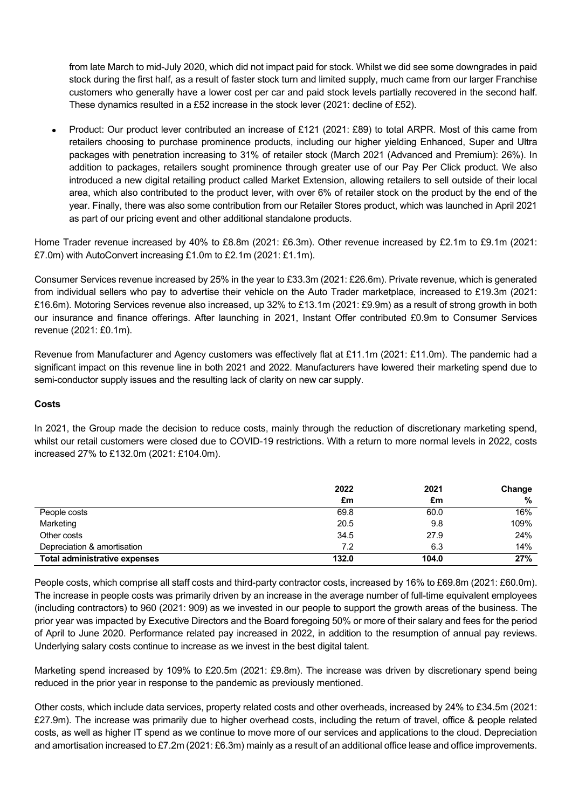from late March to mid-July 2020, which did not impact paid for stock. Whilst we did see some downgrades in paid stock during the first half, as a result of faster stock turn and limited supply, much came from our larger Franchise customers who generally have a lower cost per car and paid stock levels partially recovered in the second half. These dynamics resulted in a £52 increase in the stock lever (2021: decline of £52).

• Product: Our product lever contributed an increase of £121 (2021: £89) to total ARPR. Most of this came from retailers choosing to purchase prominence products, including our higher yielding Enhanced, Super and Ultra packages with penetration increasing to 31% of retailer stock (March 2021 (Advanced and Premium): 26%). In addition to packages, retailers sought prominence through greater use of our Pay Per Click product. We also introduced a new digital retailing product called Market Extension, allowing retailers to sell outside of their local area, which also contributed to the product lever, with over 6% of retailer stock on the product by the end of the year. Finally, there was also some contribution from our Retailer Stores product, which was launched in April 2021 as part of our pricing event and other additional standalone products.

Home Trader revenue increased by 40% to £8.8m (2021: £6.3m). Other revenue increased by £2.1m to £9.1m (2021: £7.0m) with AutoConvert increasing £1.0m to £2.1m (2021: £1.1m).

Consumer Services revenue increased by 25% in the year to £33.3m (2021: £26.6m). Private revenue, which is generated from individual sellers who pay to advertise their vehicle on the Auto Trader marketplace, increased to £19.3m (2021: £16.6m). Motoring Services revenue also increased, up 32% to £13.1m (2021: £9.9m) as a result of strong growth in both our insurance and finance offerings. After launching in 2021, Instant Offer contributed £0.9m to Consumer Services revenue (2021: £0.1m).

Revenue from Manufacturer and Agency customers was effectively flat at £11.1m (2021: £11.0m). The pandemic had a significant impact on this revenue line in both 2021 and 2022. Manufacturers have lowered their marketing spend due to semi-conductor supply issues and the resulting lack of clarity on new car supply.

### **Costs**

In 2021, the Group made the decision to reduce costs, mainly through the reduction of discretionary marketing spend, whilst our retail customers were closed due to COVID-19 restrictions. With a return to more normal levels in 2022, costs increased 27% to £132.0m (2021: £104.0m).

|                                      | 2022  | 2021  | Change |
|--------------------------------------|-------|-------|--------|
|                                      | £m    | £m    | %      |
| People costs                         | 69.8  | 60.0  | 16%    |
| Marketing                            | 20.5  | 9.8   | 109%   |
| Other costs                          | 34.5  | 27.9  | 24%    |
| Depreciation & amortisation          | 7.2   | 6.3   | 14%    |
| <b>Total administrative expenses</b> | 132.0 | 104.0 | 27%    |

People costs, which comprise all staff costs and third-party contractor costs, increased by 16% to £69.8m (2021: £60.0m). The increase in people costs was primarily driven by an increase in the average number of full-time equivalent employees (including contractors) to 960 (2021: 909) as we invested in our people to support the growth areas of the business. The prior year was impacted by Executive Directors and the Board foregoing 50% or more of their salary and fees for the period of April to June 2020. Performance related pay increased in 2022, in addition to the resumption of annual pay reviews. Underlying salary costs continue to increase as we invest in the best digital talent.

Marketing spend increased by 109% to £20.5m (2021: £9.8m). The increase was driven by discretionary spend being reduced in the prior year in response to the pandemic as previously mentioned.

Other costs, which include data services, property related costs and other overheads, increased by 24% to £34.5m (2021: £27.9m). The increase was primarily due to higher overhead costs, including the return of travel, office & people related costs, as well as higher IT spend as we continue to move more of our services and applications to the cloud. Depreciation and amortisation increased to £7.2m (2021: £6.3m) mainly as a result of an additional office lease and office improvements.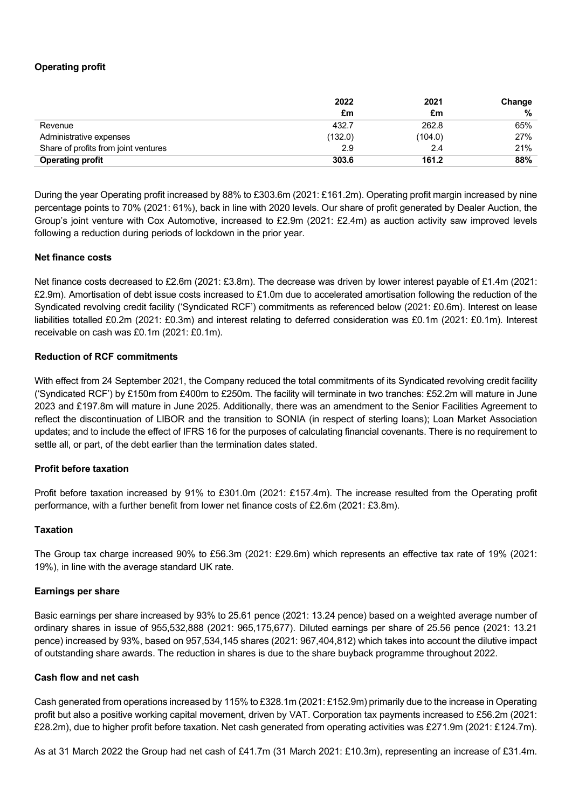## **Operating profit**

|                                      | 2022    | 2021    | Change |
|--------------------------------------|---------|---------|--------|
|                                      | £m      | £m      | %      |
| Revenue                              | 432.7   | 262.8   | 65%    |
| Administrative expenses              | (132.0) | (104.0) | 27%    |
| Share of profits from joint ventures | 2.9     | 2.4     | 21%    |
| <b>Operating profit</b>              | 303.6   | 161.2   | 88%    |

During the year Operating profit increased by 88% to £303.6m (2021: £161.2m). Operating profit margin increased by nine percentage points to 70% (2021: 61%), back in line with 2020 levels. Our share of profit generated by Dealer Auction, the Group's joint venture with Cox Automotive, increased to £2.9m (2021: £2.4m) as auction activity saw improved levels following a reduction during periods of lockdown in the prior year.

### **Net finance costs**

Net finance costs decreased to £2.6m (2021: £3.8m). The decrease was driven by lower interest payable of £1.4m (2021: £2.9m). Amortisation of debt issue costs increased to £1.0m due to accelerated amortisation following the reduction of the Syndicated revolving credit facility ('Syndicated RCF') commitments as referenced below (2021: £0.6m). Interest on lease liabilities totalled £0.2m (2021: £0.3m) and interest relating to deferred consideration was £0.1m (2021: £0.1m). Interest receivable on cash was £0.1m (2021: £0.1m).

### **Reduction of RCF commitments**

With effect from 24 September 2021, the Company reduced the total commitments of its Syndicated revolving credit facility ('Syndicated RCF') by £150m from £400m to £250m. The facility will terminate in two tranches: £52.2m will mature in June 2023 and £197.8m will mature in June 2025. Additionally, there was an amendment to the Senior Facilities Agreement to reflect the discontinuation of LIBOR and the transition to SONIA (in respect of sterling loans); Loan Market Association updates; and to include the effect of IFRS 16 for the purposes of calculating financial covenants. There is no requirement to settle all, or part, of the debt earlier than the termination dates stated.

### **Profit before taxation**

Profit before taxation increased by 91% to £301.0m (2021: £157.4m). The increase resulted from the Operating profit performance, with a further benefit from lower net finance costs of £2.6m (2021: £3.8m).

#### **Taxation**

The Group tax charge increased 90% to £56.3m (2021: £29.6m) which represents an effective tax rate of 19% (2021: 19%), in line with the average standard UK rate.

#### **Earnings per share**

Basic earnings per share increased by 93% to 25.61 pence (2021: 13.24 pence) based on a weighted average number of ordinary shares in issue of 955,532,888 (2021: 965,175,677). Diluted earnings per share of 25.56 pence (2021: 13.21 pence) increased by 93%, based on 957,534,145 shares (2021: 967,404,812) which takes into account the dilutive impact of outstanding share awards. The reduction in shares is due to the share buyback programme throughout 2022.

### **Cash flow and net cash**

Cash generated from operations increased by 115% to £328.1m (2021: £152.9m) primarily due to the increase in Operating profit but also a positive working capital movement, driven by VAT. Corporation tax payments increased to £56.2m (2021: £28.2m), due to higher profit before taxation. Net cash generated from operating activities was £271.9m (2021: £124.7m).

As at 31 March 2022 the Group had net cash of £41.7m (31 March 2021: £10.3m), representing an increase of £31.4m.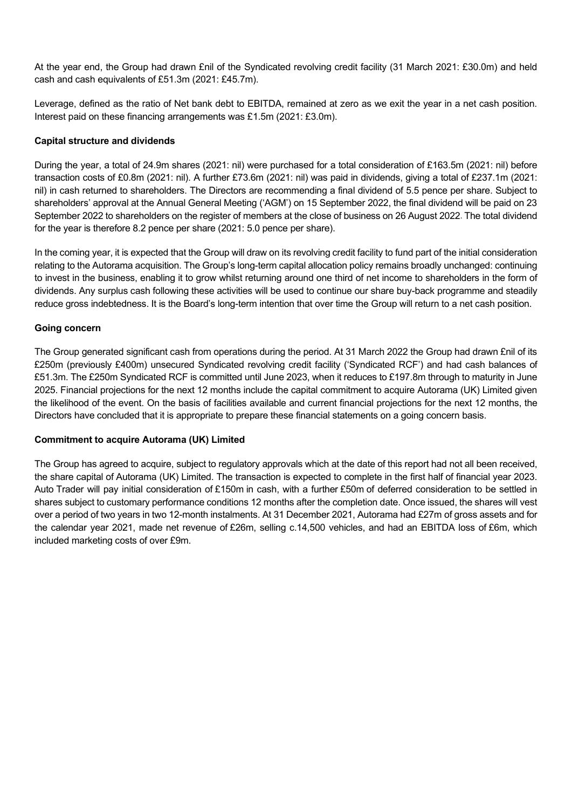At the year end, the Group had drawn £nil of the Syndicated revolving credit facility (31 March 2021: £30.0m) and held cash and cash equivalents of £51.3m (2021: £45.7m).

Leverage, defined as the ratio of Net bank debt to EBITDA, remained at zero as we exit the year in a net cash position. Interest paid on these financing arrangements was £1.5m (2021: £3.0m).

### **Capital structure and dividends**

During the year, a total of 24.9m shares (2021: nil) were purchased for a total consideration of £163.5m (2021: nil) before transaction costs of £0.8m (2021: nil). A further £73.6m (2021: nil) was paid in dividends, giving a total of £237.1m (2021: nil) in cash returned to shareholders. The Directors are recommending a final dividend of 5.5 pence per share. Subject to shareholders' approval at the Annual General Meeting ('AGM') on 15 September 2022, the final dividend will be paid on 23 September 2022 to shareholders on the register of members at the close of business on 26 August 2022. The total dividend for the year is therefore 8.2 pence per share (2021: 5.0 pence per share).

In the coming year, it is expected that the Group will draw on its revolving credit facility to fund part of the initial consideration relating to the Autorama acquisition. The Group's long-term capital allocation policy remains broadly unchanged: continuing to invest in the business, enabling it to grow whilst returning around one third of net income to shareholders in the form of dividends. Any surplus cash following these activities will be used to continue our share buy-back programme and steadily reduce gross indebtedness. It is the Board's long-term intention that over time the Group will return to a net cash position.

## **Going concern**

The Group generated significant cash from operations during the period. At 31 March 2022 the Group had drawn £nil of its £250m (previously £400m) unsecured Syndicated revolving credit facility ('Syndicated RCF') and had cash balances of £51.3m. The £250m Syndicated RCF is committed until June 2023, when it reduces to £197.8m through to maturity in June 2025. Financial projections for the next 12 months include the capital commitment to acquire Autorama (UK) Limited given the likelihood of the event. On the basis of facilities available and current financial projections for the next 12 months, the Directors have concluded that it is appropriate to prepare these financial statements on a going concern basis.

### **Commitment to acquire Autorama (UK) Limited**

The Group has agreed to acquire, subject to regulatory approvals which at the date of this report had not all been received, the share capital of Autorama (UK) Limited. The transaction is expected to complete in the first half of financial year 2023. Auto Trader will pay initial consideration of £150m in cash, with a further £50m of deferred consideration to be settled in shares subject to customary performance conditions 12 months after the completion date. Once issued, the shares will vest over a period of two years in two 12-month instalments. At 31 December 2021, Autorama had £27m of gross assets and for the calendar year 2021, made net revenue of £26m, selling c.14,500 vehicles, and had an EBITDA loss of £6m, which included marketing costs of over £9m.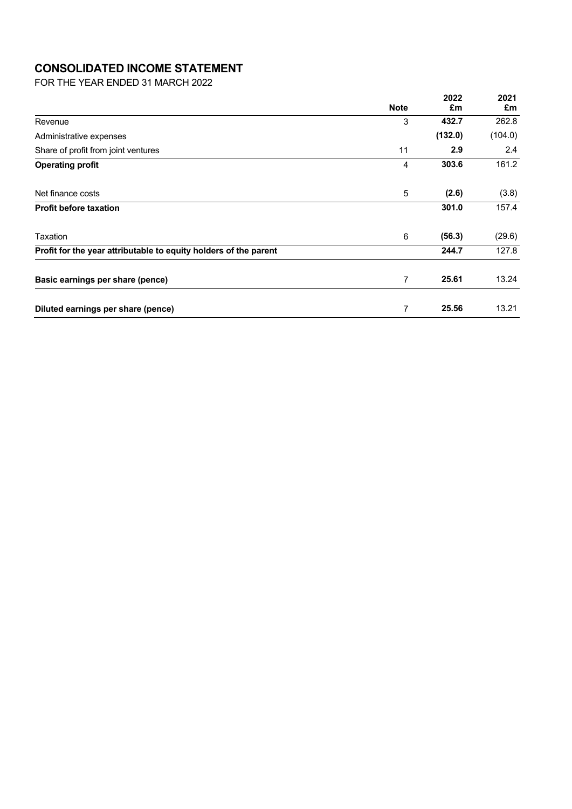# **CONSOLIDATED INCOME STATEMENT**

FOR THE YEAR ENDED 31 MARCH 2022

|                                                                  |             | 2022    | 2021    |
|------------------------------------------------------------------|-------------|---------|---------|
|                                                                  | <b>Note</b> | £m      | £m      |
| Revenue                                                          | 3           | 432.7   | 262.8   |
| Administrative expenses                                          |             | (132.0) | (104.0) |
| Share of profit from joint ventures                              | 11          | 2.9     | 2.4     |
| <b>Operating profit</b>                                          | 4           | 303.6   | 161.2   |
| Net finance costs                                                | 5           | (2.6)   | (3.8)   |
| <b>Profit before taxation</b>                                    |             | 301.0   | 157.4   |
| Taxation                                                         | 6           | (56.3)  | (29.6)  |
| Profit for the year attributable to equity holders of the parent |             | 244.7   | 127.8   |
| Basic earnings per share (pence)                                 | 7           | 25.61   | 13.24   |
| Diluted earnings per share (pence)                               | 7           | 25.56   | 13.21   |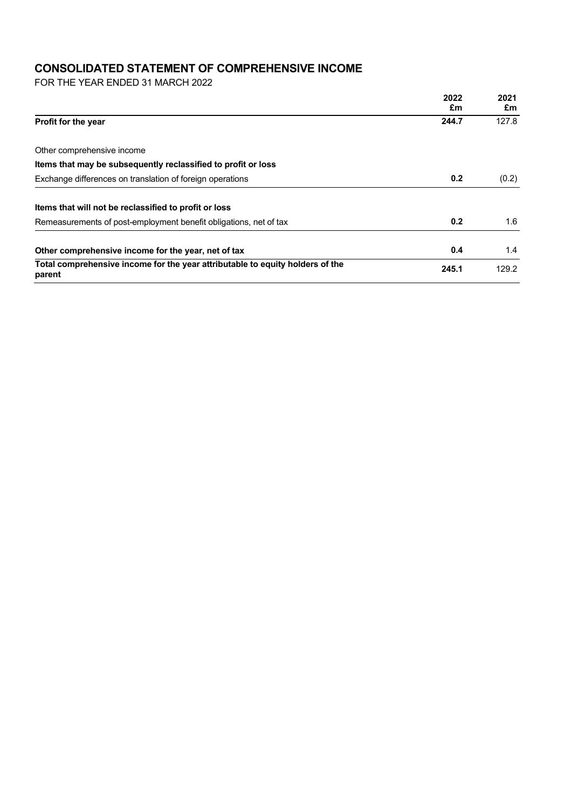# **CONSOLIDATED STATEMENT OF COMPREHENSIVE INCOME**

FOR THE YEAR ENDED 31 MARCH 2022

|                                                                                         | 2022  | 2021  |
|-----------------------------------------------------------------------------------------|-------|-------|
|                                                                                         | £m    | £m    |
| <b>Profit for the year</b>                                                              | 244.7 | 127.8 |
| Other comprehensive income                                                              |       |       |
| Items that may be subsequently reclassified to profit or loss                           |       |       |
| Exchange differences on translation of foreign operations                               | 0.2   | (0.2) |
| Items that will not be reclassified to profit or loss                                   |       |       |
| Remeasurements of post-employment benefit obligations, net of tax                       | 0.2   | 1.6   |
| Other comprehensive income for the year, net of tax                                     | 0.4   | 1.4   |
| Total comprehensive income for the year attributable to equity holders of the<br>parent | 245.1 | 129.2 |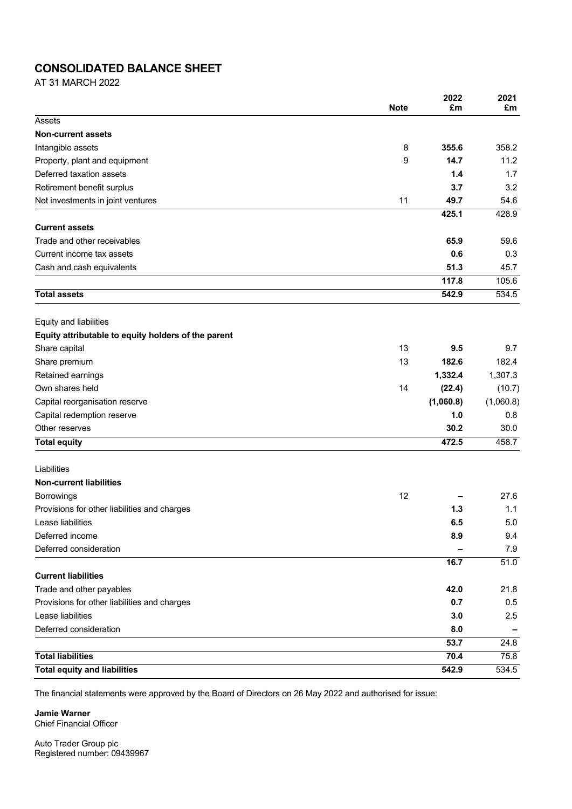## **CONSOLIDATED BALANCE SHEET**

AT 31 MARCH 2022

|                                                     | <b>Note</b> | 2022<br>£m | 2021<br>£m |
|-----------------------------------------------------|-------------|------------|------------|
| Assets                                              |             |            |            |
| <b>Non-current assets</b>                           |             |            |            |
| Intangible assets                                   | 8           | 355.6      | 358.2      |
| Property, plant and equipment                       | 9           | 14.7       | 11.2       |
| Deferred taxation assets                            |             | 1.4        | 1.7        |
| Retirement benefit surplus                          |             | 3.7        | 3.2        |
| Net investments in joint ventures                   | 11          | 49.7       | 54.6       |
|                                                     |             | 425.1      | 428.9      |
| <b>Current assets</b>                               |             |            |            |
| Trade and other receivables                         |             | 65.9       | 59.6       |
| Current income tax assets                           |             | 0.6        | 0.3        |
| Cash and cash equivalents                           |             | 51.3       | 45.7       |
|                                                     |             | 117.8      | 105.6      |
| <b>Total assets</b>                                 |             | 542.9      | 534.5      |
| Equity and liabilities                              |             |            |            |
| Equity attributable to equity holders of the parent |             |            |            |
| Share capital                                       | 13          | 9.5        | 9.7        |
| Share premium                                       | 13          | 182.6      | 182.4      |
| Retained earnings                                   |             | 1,332.4    | 1,307.3    |
| Own shares held                                     | 14          | (22.4)     | (10.7)     |
| Capital reorganisation reserve                      |             | (1,060.8)  | (1,060.8)  |
| Capital redemption reserve                          |             | 1.0        | 0.8        |
| Other reserves                                      |             | 30.2       | 30.0       |
| <b>Total equity</b>                                 |             | 472.5      | 458.7      |
| Liabilities                                         |             |            |            |
| <b>Non-current liabilities</b>                      |             |            |            |
| <b>Borrowings</b>                                   | 12          |            | 27.6       |
| Provisions for other liabilities and charges        |             | 1.3        | 1.1        |
| Lease liabilities                                   |             | 6.5        | 5.0        |
| Deferred income                                     |             | 8.9        | 9.4        |
| Deferred consideration                              |             |            | 7.9        |
|                                                     |             | 16.7       | 51.0       |
| <b>Current liabilities</b>                          |             |            |            |
| Trade and other payables                            |             | 42.0       | 21.8       |
| Provisions for other liabilities and charges        |             | 0.7        | 0.5        |
| Lease liabilities                                   |             | 3.0        | 2.5        |
| Deferred consideration                              |             | 8.0        |            |
|                                                     |             | 53.7       | 24.8       |
| <b>Total liabilities</b>                            |             | 70.4       | 75.8       |
| <b>Total equity and liabilities</b>                 |             | 542.9      | 534.5      |

The financial statements were approved by the Board of Directors on 26 May 2022 and authorised for issue:

**Jamie Warner** Chief Financial Officer

Auto Trader Group plc Registered number: 09439967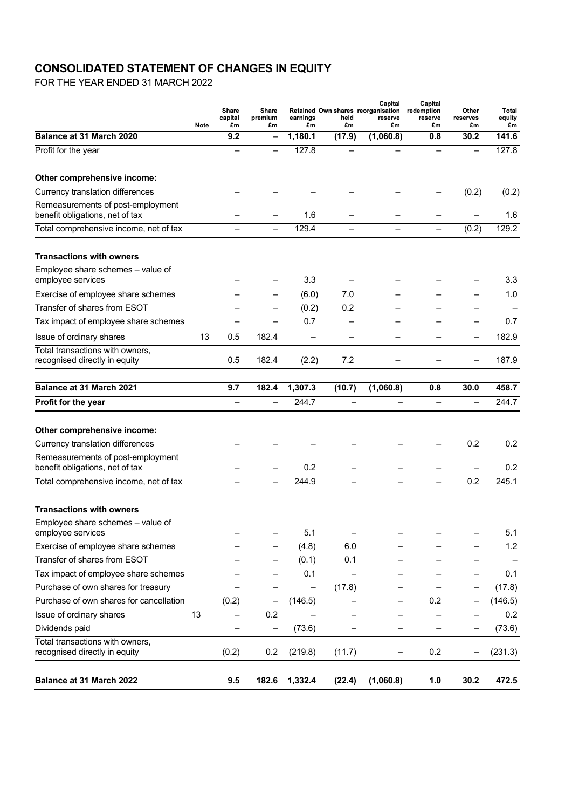# **CONSOLIDATED STATEMENT OF CHANGES IN EQUITY**

FOR THE YEAR ENDED 31 MARCH 2022

|                                                                      | Note | Share<br>capital<br>£m   | Share<br>premium<br>£m   | earnings<br>£m | held<br>£m               | Capital<br>Retained Own shares reorganisation<br>reserve<br>£m | Capital<br>redemption<br>reserve<br>£m | Other<br>reserves<br>£m  | Total<br>equity<br>£m |
|----------------------------------------------------------------------|------|--------------------------|--------------------------|----------------|--------------------------|----------------------------------------------------------------|----------------------------------------|--------------------------|-----------------------|
| Balance at 31 March 2020                                             |      | 9.2                      | $\qquad \qquad -$        | 1,180.1        | (17.9)                   | (1,060.8)                                                      | 0.8                                    | 30.2                     | 141.6                 |
| Profit for the year                                                  |      |                          | $\overline{\phantom{0}}$ | 127.8          |                          |                                                                | $\overline{\phantom{0}}$               | $\overline{\phantom{0}}$ | 127.8                 |
| Other comprehensive income:                                          |      |                          |                          |                |                          |                                                                |                                        |                          |                       |
| Currency translation differences                                     |      |                          |                          |                |                          |                                                                |                                        | (0.2)                    | (0.2)                 |
| Remeasurements of post-employment<br>benefit obligations, net of tax |      |                          |                          | 1.6            |                          |                                                                |                                        |                          | 1.6                   |
| Total comprehensive income, net of tax                               |      | $\overline{\phantom{0}}$ | $\qquad \qquad -$        | 129.4          | $\overline{\phantom{0}}$ | $\overline{\phantom{0}}$                                       | $\qquad \qquad -$                      | (0.2)                    | 129.2                 |
| <b>Transactions with owners</b>                                      |      |                          |                          |                |                          |                                                                |                                        |                          |                       |
| Employee share schemes - value of<br>employee services               |      |                          |                          | 3.3            |                          |                                                                |                                        |                          | 3.3                   |
| Exercise of employee share schemes                                   |      |                          |                          | (6.0)          | 7.0                      |                                                                |                                        |                          | 1.0                   |
| Transfer of shares from ESOT                                         |      |                          |                          | (0.2)          | 0.2                      |                                                                |                                        |                          |                       |
| Tax impact of employee share schemes                                 |      |                          |                          | 0.7            |                          |                                                                |                                        | $\overline{\phantom{0}}$ | 0.7                   |
| Issue of ordinary shares                                             | 13   | 0.5                      | 182.4                    |                |                          |                                                                |                                        | $\overline{\phantom{0}}$ | 182.9                 |
| Total transactions with owners,<br>recognised directly in equity     |      | 0.5                      | 182.4                    | (2.2)          | 7.2                      |                                                                |                                        | -                        | 187.9                 |
| Balance at 31 March 2021                                             |      | 9.7                      | 182.4                    | 1,307.3        | (10.7)                   | (1,060.8)                                                      | 0.8                                    | 30.0                     | 458.7                 |
| <b>Profit for the year</b>                                           |      | $\overline{\phantom{0}}$ |                          | 244.7          |                          |                                                                | $\overline{\phantom{0}}$               | $\overline{\phantom{0}}$ | 244.7                 |
| Other comprehensive income:                                          |      |                          |                          |                |                          |                                                                |                                        |                          |                       |
| Currency translation differences                                     |      |                          |                          |                |                          |                                                                |                                        | 0.2                      | 0.2                   |
| Remeasurements of post-employment<br>benefit obligations, net of tax |      |                          |                          | 0.2            |                          |                                                                |                                        |                          | 0.2                   |
| Total comprehensive income, net of tax                               |      |                          |                          | 244.9          |                          |                                                                |                                        | 0.2                      | 245.1                 |
| <b>Transactions with owners</b>                                      |      |                          |                          |                |                          |                                                                |                                        |                          |                       |
| Employee share schemes - value of<br>employee services               |      |                          |                          | 5.1            | $\qquad \qquad -$        |                                                                |                                        |                          | 5.1                   |
| Exercise of employee share schemes                                   |      |                          |                          | (4.8)          | 6.0                      |                                                                |                                        |                          | 1.2                   |
| Transfer of shares from ESOT                                         |      |                          |                          | (0.1)          | 0.1                      |                                                                |                                        |                          |                       |
| Tax impact of employee share schemes                                 |      |                          |                          | 0.1            |                          |                                                                |                                        |                          | 0.1                   |
| Purchase of own shares for treasury                                  |      |                          |                          |                | (17.8)                   |                                                                |                                        |                          | (17.8)                |
| Purchase of own shares for cancellation                              |      | (0.2)                    |                          | (146.5)        |                          |                                                                | 0.2                                    |                          | (146.5)               |
| Issue of ordinary shares                                             | 13   |                          | 0.2                      |                |                          |                                                                |                                        |                          | 0.2                   |
| Dividends paid                                                       |      |                          | $\overline{\phantom{0}}$ | (73.6)         |                          |                                                                |                                        |                          | (73.6)                |
| Total transactions with owners,<br>recognised directly in equity     |      | (0.2)                    | 0.2                      | (219.8)        | (11.7)                   |                                                                | 0.2                                    |                          | (231.3)               |
| Balance at 31 March 2022                                             |      | 9.5                      | 182.6                    | 1,332.4        | (22.4)                   | (1,060.8)                                                      | 1.0                                    | 30.2                     | 472.5                 |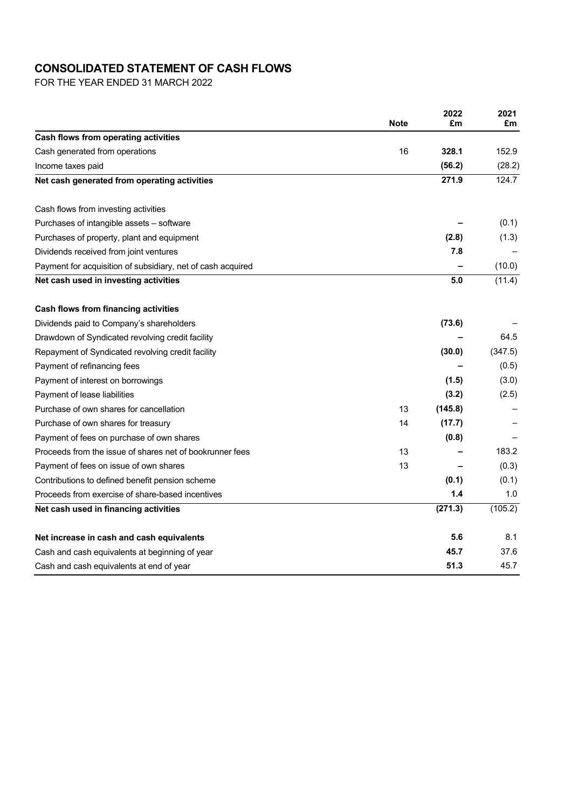# **CONSOLIDATED STATEMENT OF CASH FLOWS**

FOR THE YEAR ENDED 31 MARCH 2022

|                                                             | <b>Note</b> | 2022<br>£m | 2021<br>£m |
|-------------------------------------------------------------|-------------|------------|------------|
| Cash flows from operating activities                        |             |            |            |
| Cash generated from operations                              | 16          | 328.1      | 152.9      |
| Income taxes paid                                           |             | (56.2)     | (28.2)     |
| Net cash generated from operating activities                |             | 271.9      | 124.7      |
| Cash flows from investing activities                        |             |            |            |
| Purchases of intangible assets - software                   |             |            | (0.1)      |
| Purchases of property, plant and equipment                  |             | (2.8)      | (1.3)      |
| Dividends received from joint ventures                      |             | 7.8        |            |
| Payment for acquisition of subsidiary, net of cash acquired |             |            | (10.0)     |
| Net cash used in investing activities                       |             | 5.0        | (11.4)     |
| Cash flows from financing activities                        |             |            |            |
| Dividends paid to Company's shareholders                    |             | (73.6)     |            |
| Drawdown of Syndicated revolving credit facility            |             |            | 64.5       |
| Repayment of Syndicated revolving credit facility           |             | (30.0)     | (347.5)    |
| Payment of refinancing fees                                 |             |            | (0.5)      |
| Payment of interest on borrowings                           |             | (1.5)      | (3.0)      |
| Payment of lease liabilities                                |             | (3.2)      | (2.5)      |
| Purchase of own shares for cancellation                     | 13          | (145.8)    |            |
| Purchase of own shares for treasury                         | 14          | (17.7)     |            |
| Payment of fees on purchase of own shares                   |             | (0.8)      |            |
| Proceeds from the issue of shares net of bookrunner fees    | 13          |            | 183.2      |
| Payment of fees on issue of own shares                      | 13          |            | (0.3)      |
| Contributions to defined benefit pension scheme             |             | (0.1)      | (0.1)      |
| Proceeds from exercise of share-based incentives            |             | 1.4        | 1.0        |
| Net cash used in financing activities                       |             | (271.3)    | (105.2)    |
| Net increase in cash and cash equivalents                   |             | 5.6        | 8.1        |
| Cash and cash equivalents at beginning of year              |             | 45.7       | 37.6       |
| Cash and cash equivalents at end of year                    |             | 51.3       | 45.7       |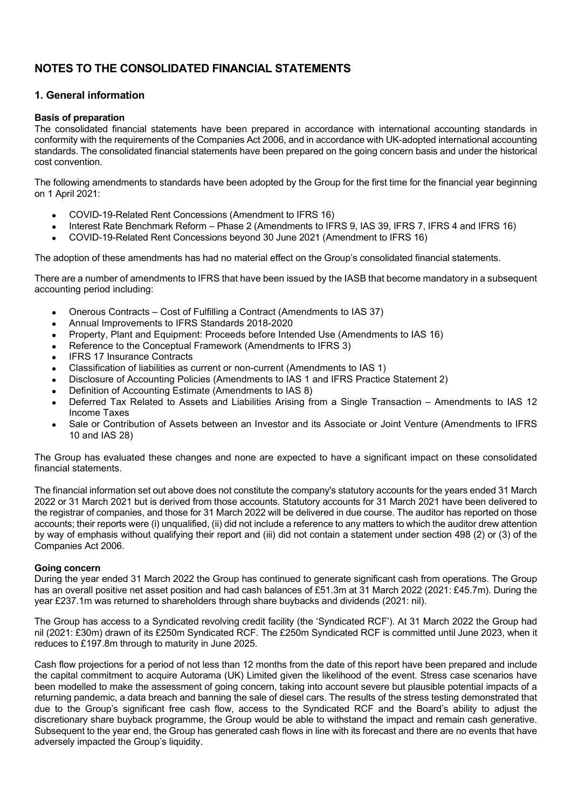# **NOTES TO THE CONSOLIDATED FINANCIAL STATEMENTS**

## **1. General information**

### **Basis of preparation**

The consolidated financial statements have been prepared in accordance with international accounting standards in conformity with the requirements of the Companies Act 2006, and in accordance with UK-adopted international accounting standards. The consolidated financial statements have been prepared on the going concern basis and under the historical cost convention.

The following amendments to standards have been adopted by the Group for the first time for the financial year beginning on 1 April 2021:

- COVID-19-Related Rent Concessions (Amendment to IFRS 16)
- Interest Rate Benchmark Reform Phase 2 (Amendments to IFRS 9, IAS 39, IFRS 7, IFRS 4 and IFRS 16)
- COVID-19-Related Rent Concessions beyond 30 June 2021 (Amendment to IFRS 16)

The adoption of these amendments has had no material effect on the Group's consolidated financial statements.

There are a number of amendments to IFRS that have been issued by the IASB that become mandatory in a subsequent accounting period including:

- Onerous Contracts Cost of Fulfilling a Contract (Amendments to IAS 37)
- Annual Improvements to IFRS Standards 2018-2020
- Property, Plant and Equipment: Proceeds before Intended Use (Amendments to IAS 16)
- Reference to the Conceptual Framework (Amendments to IFRS 3)
- **IFRS 17 Insurance Contracts**
- Classification of liabilities as current or non-current (Amendments to IAS 1)
- Disclosure of Accounting Policies (Amendments to IAS 1 and IFRS Practice Statement 2)
- Definition of Accounting Estimate (Amendments to IAS 8)
- Deferred Tax Related to Assets and Liabilities Arising from a Single Transaction Amendments to IAS 12 Income Taxes
- Sale or Contribution of Assets between an Investor and its Associate or Joint Venture (Amendments to IFRS 10 and IAS 28)

The Group has evaluated these changes and none are expected to have a significant impact on these consolidated financial statements.

The financial information set out above does not constitute the company's statutory accounts for the years ended 31 March 2022 or 31 March 2021 but is derived from those accounts. Statutory accounts for 31 March 2021 have been delivered to the registrar of companies, and those for 31 March 2022 will be delivered in due course. The auditor has reported on those accounts; their reports were (i) unqualified, (ii) did not include a reference to any matters to which the auditor drew attention by way of emphasis without qualifying their report and (iii) did not contain a statement under section 498 (2) or (3) of the Companies Act 2006.

### **Going concern**

During the year ended 31 March 2022 the Group has continued to generate significant cash from operations. The Group has an overall positive net asset position and had cash balances of £51.3m at 31 March 2022 (2021: £45.7m). During the year £237.1m was returned to shareholders through share buybacks and dividends (2021: nil).

The Group has access to a Syndicated revolving credit facility (the 'Syndicated RCF'). At 31 March 2022 the Group had nil (2021: £30m) drawn of its £250m Syndicated RCF. The £250m Syndicated RCF is committed until June 2023, when it reduces to £197.8m through to maturity in June 2025.

Cash flow projections for a period of not less than 12 months from the date of this report have been prepared and include the capital commitment to acquire Autorama (UK) Limited given the likelihood of the event. Stress case scenarios have been modelled to make the assessment of going concern, taking into account severe but plausible potential impacts of a returning pandemic, a data breach and banning the sale of diesel cars. The results of the stress testing demonstrated that due to the Group's significant free cash flow, access to the Syndicated RCF and the Board's ability to adjust the discretionary share buyback programme, the Group would be able to withstand the impact and remain cash generative. Subsequent to the year end, the Group has generated cash flows in line with its forecast and there are no events that have adversely impacted the Group's liquidity.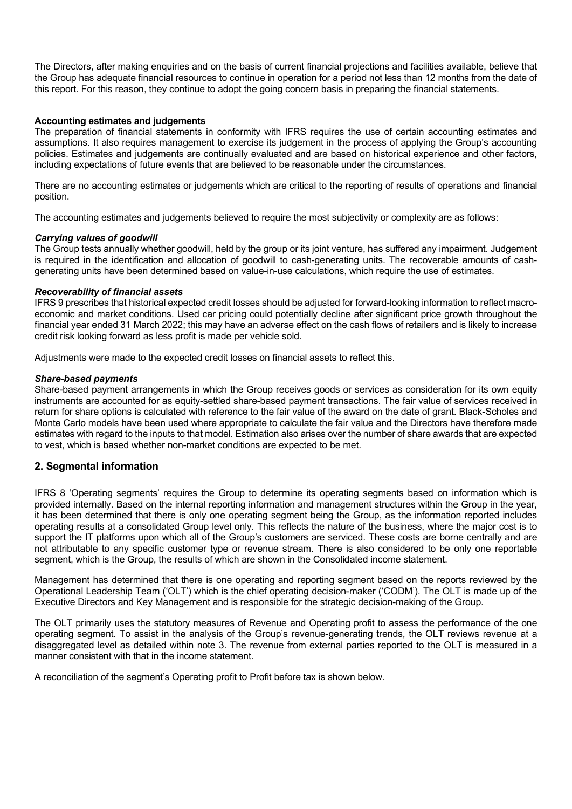The Directors, after making enquiries and on the basis of current financial projections and facilities available, believe that the Group has adequate financial resources to continue in operation for a period not less than 12 months from the date of this report. For this reason, they continue to adopt the going concern basis in preparing the financial statements.

### **Accounting estimates and judgements**

The preparation of financial statements in conformity with IFRS requires the use of certain accounting estimates and assumptions. It also requires management to exercise its judgement in the process of applying the Group's accounting policies. Estimates and judgements are continually evaluated and are based on historical experience and other factors, including expectations of future events that are believed to be reasonable under the circumstances.

There are no accounting estimates or judgements which are critical to the reporting of results of operations and financial position.

The accounting estimates and judgements believed to require the most subjectivity or complexity are as follows:

### *Carrying values of goodwill*

The Group tests annually whether goodwill, held by the group or its joint venture, has suffered any impairment. Judgement is required in the identification and allocation of goodwill to cash-generating units. The recoverable amounts of cashgenerating units have been determined based on value-in-use calculations, which require the use of estimates.

### *Recoverability of financial assets*

IFRS 9 prescribes that historical expected credit losses should be adjusted for forward-looking information to reflect macroeconomic and market conditions. Used car pricing could potentially decline after significant price growth throughout the financial year ended 31 March 2022; this may have an adverse effect on the cash flows of retailers and is likely to increase credit risk looking forward as less profit is made per vehicle sold.

Adjustments were made to the expected credit losses on financial assets to reflect this.

### *Share-based payments*

Share-based payment arrangements in which the Group receives goods or services as consideration for its own equity instruments are accounted for as equity-settled share-based payment transactions. The fair value of services received in return for share options is calculated with reference to the fair value of the award on the date of grant. Black-Scholes and Monte Carlo models have been used where appropriate to calculate the fair value and the Directors have therefore made estimates with regard to the inputs to that model. Estimation also arises over the number of share awards that are expected to vest, which is based whether non-market conditions are expected to be met.

### **2. Segmental information**

IFRS 8 'Operating segments' requires the Group to determine its operating segments based on information which is provided internally. Based on the internal reporting information and management structures within the Group in the year, it has been determined that there is only one operating segment being the Group, as the information reported includes operating results at a consolidated Group level only. This reflects the nature of the business, where the major cost is to support the IT platforms upon which all of the Group's customers are serviced. These costs are borne centrally and are not attributable to any specific customer type or revenue stream. There is also considered to be only one reportable segment, which is the Group, the results of which are shown in the Consolidated income statement.

Management has determined that there is one operating and reporting segment based on the reports reviewed by the Operational Leadership Team ('OLT') which is the chief operating decision-maker ('CODM'). The OLT is made up of the Executive Directors and Key Management and is responsible for the strategic decision-making of the Group.

The OLT primarily uses the statutory measures of Revenue and Operating profit to assess the performance of the one operating segment. To assist in the analysis of the Group's revenue-generating trends, the OLT reviews revenue at a disaggregated level as detailed within note 3. The revenue from external parties reported to the OLT is measured in a manner consistent with that in the income statement.

A reconciliation of the segment's Operating profit to Profit before tax is shown below.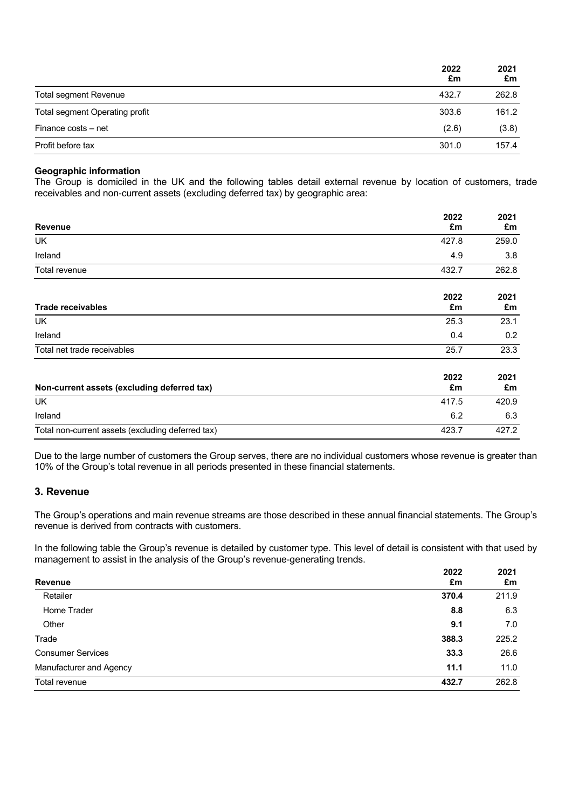|                                | 2022<br>£m | 2021<br>£m |
|--------------------------------|------------|------------|
| Total segment Revenue          | 432.7      | 262.8      |
| Total segment Operating profit | 303.6      | 161.2      |
| Finance costs – net            | (2.6)      | (3.8)      |
| Profit before tax              | 301.0      | 157.4      |

### **Geographic information**

The Group is domiciled in the UK and the following tables detail external revenue by location of customers, trade receivables and non-current assets (excluding deferred tax) by geographic area:

|                                                   | 2022       | 2021       |
|---------------------------------------------------|------------|------------|
| <b>Revenue</b>                                    | £m         | £m         |
| UK.                                               | 427.8      | 259.0      |
| Ireland                                           | 4.9        | 3.8        |
| Total revenue                                     | 432.7      | 262.8      |
| <b>Trade receivables</b>                          | 2022<br>£m | 2021<br>£m |
| <b>UK</b>                                         | 25.3       | 23.1       |
| Ireland                                           | 0.4        | 0.2        |
| Total net trade receivables                       | 25.7       | 23.3       |
| Non-current assets (excluding deferred tax)       | 2022<br>£m | 2021<br>£m |
| UK                                                | 417.5      | 420.9      |
| Ireland                                           | 6.2        | 6.3        |
| Total non-current assets (excluding deferred tax) | 423.7      | 427.2      |

Due to the large number of customers the Group serves, there are no individual customers whose revenue is greater than 10% of the Group's total revenue in all periods presented in these financial statements.

### **3. Revenue**

The Group's operations and main revenue streams are those described in these annual financial statements. The Group's revenue is derived from contracts with customers.

In the following table the Group's revenue is detailed by customer type. This level of detail is consistent with that used by management to assist in the analysis of the Group's revenue-generating trends.

| <b>Revenue</b>           | 2022<br>£m | 2021<br>£m |
|--------------------------|------------|------------|
| Retailer                 | 370.4      | 211.9      |
| Home Trader              | 8.8        | 6.3        |
| Other                    | 9.1        | 7.0        |
| Trade                    | 388.3      | 225.2      |
| <b>Consumer Services</b> | 33.3       | 26.6       |
| Manufacturer and Agency  | 11.1       | 11.0       |
| Total revenue            | 432.7      | 262.8      |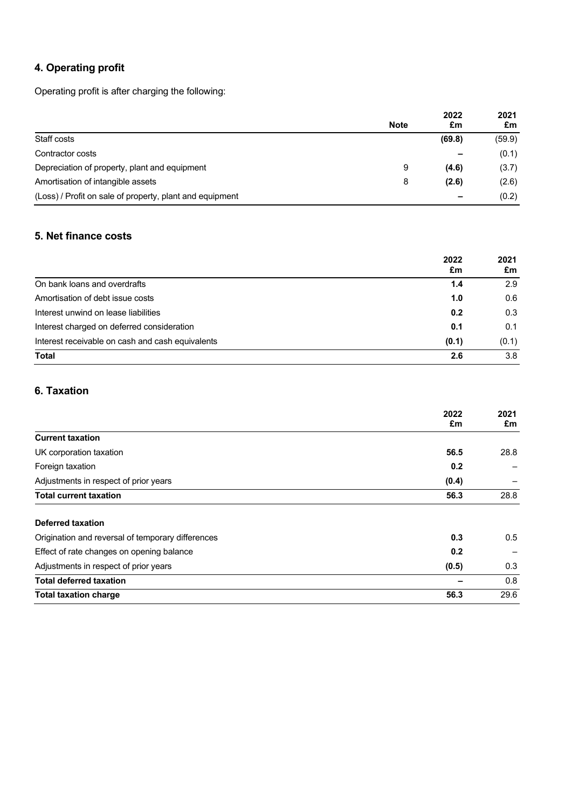# **4. Operating profit**

Operating profit is after charging the following:

|                                                          |             | 2022<br>£m | 2021<br>£m |
|----------------------------------------------------------|-------------|------------|------------|
|                                                          | <b>Note</b> |            |            |
| Staff costs                                              |             | (69.8)     | (59.9)     |
| Contractor costs                                         |             |            | (0.1)      |
| Depreciation of property, plant and equipment            | 9           | (4.6)      | (3.7)      |
| Amortisation of intangible assets                        | 8           | (2.6)      | (2.6)      |
| (Loss) / Profit on sale of property, plant and equipment |             |            | (0.2)      |

## **5. Net finance costs**

|                                                  | 2022<br>£m | 2021<br>£m |
|--------------------------------------------------|------------|------------|
|                                                  |            |            |
| On bank loans and overdrafts                     | 1.4        | 2.9        |
| Amortisation of debt issue costs                 | 1.0        | 0.6        |
| Interest unwind on lease liabilities             | 0.2        | 0.3        |
| Interest charged on deferred consideration       | 0.1        | 0.1        |
| Interest receivable on cash and cash equivalents | (0.1)      | (0.1)      |
| <b>Total</b>                                     | 2.6        | 3.8        |

# **6. Taxation**

|                                                   | 2022<br>£m | 2021<br>£m |
|---------------------------------------------------|------------|------------|
| <b>Current taxation</b>                           |            |            |
| UK corporation taxation                           | 56.5       | 28.8       |
| Foreign taxation                                  | 0.2        |            |
| Adjustments in respect of prior years             | (0.4)      |            |
| <b>Total current taxation</b>                     | 56.3       | 28.8       |
| Deferred taxation                                 |            |            |
| Origination and reversal of temporary differences | 0.3        | 0.5        |
| Effect of rate changes on opening balance         | 0.2        |            |
| Adjustments in respect of prior years             | (0.5)      | 0.3        |
| <b>Total deferred taxation</b>                    |            | 0.8        |
| <b>Total taxation charge</b>                      | 56.3       | 29.6       |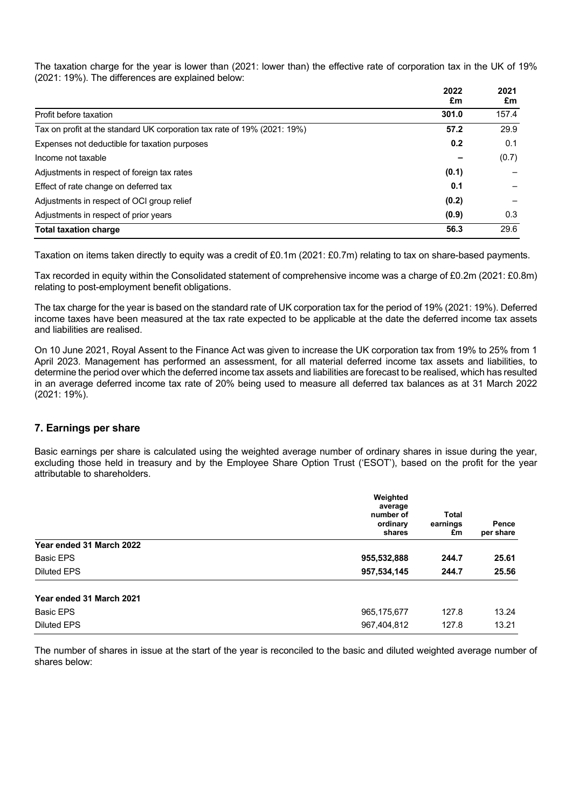The taxation charge for the year is lower than (2021: lower than) the effective rate of corporation tax in the UK of 19% (2021: 19%). The differences are explained below:

|                                                                          | 2022<br>£m | 2021<br>£m |
|--------------------------------------------------------------------------|------------|------------|
| Profit before taxation                                                   | 301.0      | 157.4      |
| Tax on profit at the standard UK corporation tax rate of 19% (2021: 19%) | 57.2       | 29.9       |
| Expenses not deductible for taxation purposes                            | 0.2        | 0.1        |
| Income not taxable                                                       |            | (0.7)      |
| Adjustments in respect of foreign tax rates                              | (0.1)      |            |
| Effect of rate change on deferred tax                                    | 0.1        |            |
| Adjustments in respect of OCI group relief                               | (0.2)      |            |
| Adjustments in respect of prior years                                    | (0.9)      | 0.3        |
| <b>Total taxation charge</b>                                             | 56.3       | 29.6       |

Taxation on items taken directly to equity was a credit of £0.1m (2021: £0.7m) relating to tax on share-based payments.

Tax recorded in equity within the Consolidated statement of comprehensive income was a charge of £0.2m (2021: £0.8m) relating to post-employment benefit obligations.

The tax charge for the year is based on the standard rate of UK corporation tax for the period of 19% (2021: 19%). Deferred income taxes have been measured at the tax rate expected to be applicable at the date the deferred income tax assets and liabilities are realised.

On 10 June 2021, Royal Assent to the Finance Act was given to increase the UK corporation tax from 19% to 25% from 1 April 2023. Management has performed an assessment, for all material deferred income tax assets and liabilities, to determine the period over which the deferred income tax assets and liabilities are forecast to be realised, which has resulted in an average deferred income tax rate of 20% being used to measure all deferred tax balances as at 31 March 2022 (2021: 19%).

### **7. Earnings per share**

Basic earnings per share is calculated using the weighted average number of ordinary shares in issue during the year, excluding those held in treasury and by the Employee Share Option Trust ('ESOT'), based on the profit for the year attributable to shareholders.

|                          | Weighted<br>average<br>number of<br>ordinary<br>shares | <b>Total</b><br>earnings<br>£m | Pence<br>per share |
|--------------------------|--------------------------------------------------------|--------------------------------|--------------------|
| Year ended 31 March 2022 |                                                        |                                |                    |
| <b>Basic EPS</b>         | 955,532,888                                            | 244.7                          | 25.61              |
| <b>Diluted EPS</b>       | 957,534,145                                            | 244.7                          | 25.56              |
| Year ended 31 March 2021 |                                                        |                                |                    |
| <b>Basic EPS</b>         | 965,175,677                                            | 127.8                          | 13.24              |
| <b>Diluted EPS</b>       | 967,404,812                                            | 127.8                          | 13.21              |

The number of shares in issue at the start of the year is reconciled to the basic and diluted weighted average number of shares below: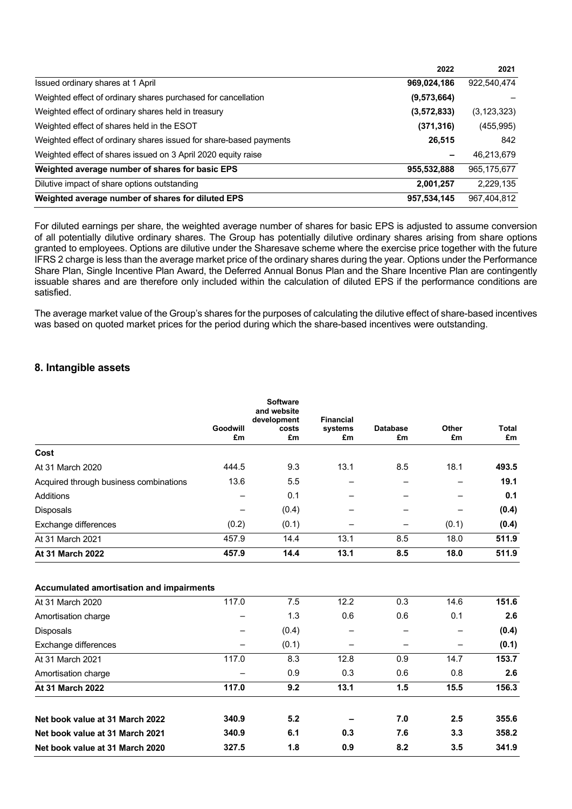|                                                                    | 2022          | 2021        |
|--------------------------------------------------------------------|---------------|-------------|
| Issued ordinary shares at 1 April                                  | 969,024,186   | 922,540,474 |
| Weighted effect of ordinary shares purchased for cancellation      | (9, 573, 664) |             |
| Weighted effect of ordinary shares held in treasury                | (3, 572, 833) | (3,123,323) |
| Weighted effect of shares held in the ESOT                         | (371, 316)    | (455, 995)  |
| Weighted effect of ordinary shares issued for share-based payments | 26,515        | 842         |
| Weighted effect of shares issued on 3 April 2020 equity raise      | -             | 46,213,679  |
| Weighted average number of shares for basic EPS                    | 955,532,888   | 965,175,677 |
| Dilutive impact of share options outstanding                       | 2,001,257     | 2,229,135   |
| Weighted average number of shares for diluted EPS                  | 957,534,145   | 967,404,812 |

For diluted earnings per share, the weighted average number of shares for basic EPS is adjusted to assume conversion of all potentially dilutive ordinary shares. The Group has potentially dilutive ordinary shares arising from share options granted to employees. Options are dilutive under the Sharesave scheme where the exercise price together with the future IFRS 2 charge is less than the average market price of the ordinary shares during the year. Options under the Performance Share Plan, Single Incentive Plan Award, the Deferred Annual Bonus Plan and the Share Incentive Plan are contingently issuable shares and are therefore only included within the calculation of diluted EPS if the performance conditions are satisfied.

The average market value of the Group's shares for the purposes of calculating the dilutive effect of share-based incentives was based on quoted market prices for the period during which the share-based incentives were outstanding.

## **8. Intangible assets**

|                                        | Goodwill<br>£m | <b>Software</b><br>and website<br>development<br>costs<br>£m | <b>Financial</b><br>systems<br>£m | <b>Database</b><br>£m | Other<br>£m | Total<br>£m |
|----------------------------------------|----------------|--------------------------------------------------------------|-----------------------------------|-----------------------|-------------|-------------|
| Cost                                   |                |                                                              |                                   |                       |             |             |
| At 31 March 2020                       | 444.5          | 9.3                                                          | 13.1                              | 8.5                   | 18.1        | 493.5       |
| Acquired through business combinations | 13.6           | 5.5                                                          |                                   |                       |             | 19.1        |
| Additions                              |                | 0.1                                                          |                                   |                       |             | 0.1         |
| <b>Disposals</b>                       |                | (0.4)                                                        |                                   |                       |             | (0.4)       |
| Exchange differences                   | (0.2)          | (0.1)                                                        |                                   |                       | (0.1)       | (0.4)       |
| At 31 March 2021                       | 457.9          | 14.4                                                         | 13.1                              | 8.5                   | 18.0        | 511.9       |
| At 31 March 2022                       | 457.9          | 14.4                                                         | 13.1                              | 8.5                   | 18.0        | 511.9       |

| Accumulated amortisation and impairments |       |      |     |      |       |
|------------------------------------------|-------|------|-----|------|-------|
| 117.0                                    | 7.5   | 12.2 | 0.3 | 14.6 | 151.6 |
|                                          | 1.3   | 0.6  | 0.6 | 0.1  | 2.6   |
|                                          | (0.4) |      |     |      | (0.4) |
| -                                        | (0.1) |      |     | —    | (0.1) |
| 117.0                                    | 8.3   | 12.8 | 0.9 | 14.7 | 153.7 |
|                                          | 0.9   | 0.3  | 0.6 | 0.8  | 2.6   |
| 117.0                                    | 9.2   | 13.1 | 1.5 | 15.5 | 156.3 |
| 340.9                                    | 5.2   |      | 7.0 | 2.5  | 355.6 |
| 340.9                                    | 6.1   | 0.3  | 7.6 | 3.3  | 358.2 |
| 327.5                                    | 1.8   | 0.9  | 8.2 | 3.5  | 341.9 |
|                                          |       |      |     |      |       |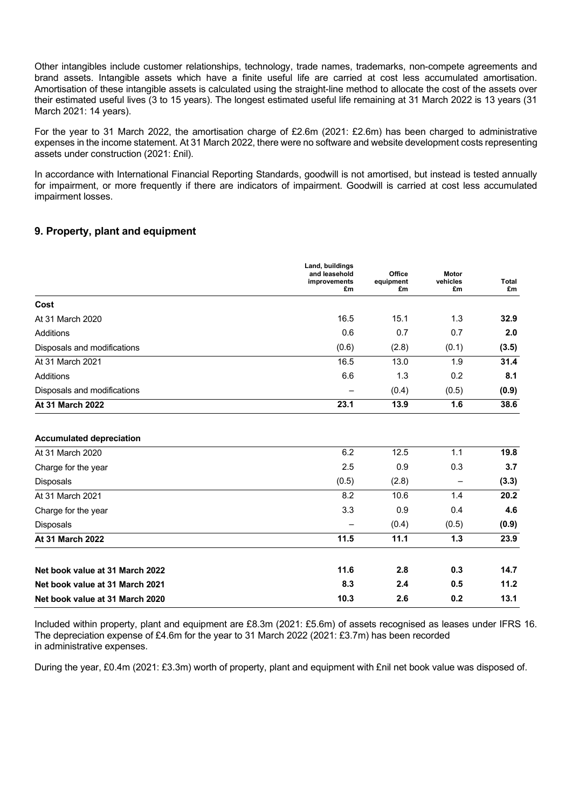Other intangibles include customer relationships, technology, trade names, trademarks, non-compete agreements and brand assets. Intangible assets which have a finite useful life are carried at cost less accumulated amortisation. Amortisation of these intangible assets is calculated using the straight-line method to allocate the cost of the assets over their estimated useful lives (3 to 15 years). The longest estimated useful life remaining at 31 March 2022 is 13 years (31 March 2021: 14 years).

For the year to 31 March 2022, the amortisation charge of £2.6m (2021: £2.6m) has been charged to administrative expenses in the income statement. At 31 March 2022, there were no software and website development costs representing assets under construction (2021: £nil).

In accordance with International Financial Reporting Standards, goodwill is not amortised, but instead is tested annually for impairment, or more frequently if there are indicators of impairment. Goodwill is carried at cost less accumulated impairment losses.

## **9. Property, plant and equipment**

|                             | Land, buildings<br>and leasehold<br>improvements<br>£m | Office<br>equipment<br>£m | Motor<br>vehicles<br>£m | <b>Total</b><br>£m |
|-----------------------------|--------------------------------------------------------|---------------------------|-------------------------|--------------------|
| Cost                        |                                                        |                           |                         |                    |
| At 31 March 2020            | 16.5                                                   | 15.1                      | 1.3                     | 32.9               |
| Additions                   | 0.6                                                    | 0.7                       | 0.7                     | 2.0                |
| Disposals and modifications | (0.6)                                                  | (2.8)                     | (0.1)                   | (3.5)              |
| At 31 March 2021            | 16.5                                                   | 13.0                      | 1.9                     | 31.4               |
| Additions                   | 6.6                                                    | 1.3                       | 0.2                     | 8.1                |
| Disposals and modifications | $\overline{\phantom{0}}$                               | (0.4)                     | (0.5)                   | (0.9)              |
| <b>At 31 March 2022</b>     | 23.1                                                   | 13.9                      | 1.6                     | 38.6               |

#### **Accumulated depreciation**

| At 31 March 2020                | 6.2                      | 12.5  | 1.1   | 19.8  |
|---------------------------------|--------------------------|-------|-------|-------|
| Charge for the year             | 2.5                      | 0.9   | 0.3   | 3.7   |
| <b>Disposals</b>                | (0.5)                    | (2.8) | —     | (3.3) |
| At 31 March 2021                | 8.2                      | 10.6  | 1.4   | 20.2  |
| Charge for the year             | 3.3                      | 0.9   | 0.4   | 4.6   |
| <b>Disposals</b>                | $\overline{\phantom{m}}$ | (0.4) | (0.5) | (0.9) |
| At 31 March 2022                | 11.5                     | 11.1  | 1.3   | 23.9  |
| Net book value at 31 March 2022 | 11.6                     | 2.8   | 0.3   | 14.7  |
| Net book value at 31 March 2021 | 8.3                      | 2.4   | 0.5   | 11.2  |
| Net book value at 31 March 2020 | 10.3                     | 2.6   | 0.2   | 13.1  |

Included within property, plant and equipment are £8.3m (2021: £5.6m) of assets recognised as leases under IFRS 16. The depreciation expense of £4.6m for the year to 31 March 2022 (2021: £3.7m) has been recorded in administrative expenses.

During the year, £0.4m (2021: £3.3m) worth of property, plant and equipment with £nil net book value was disposed of.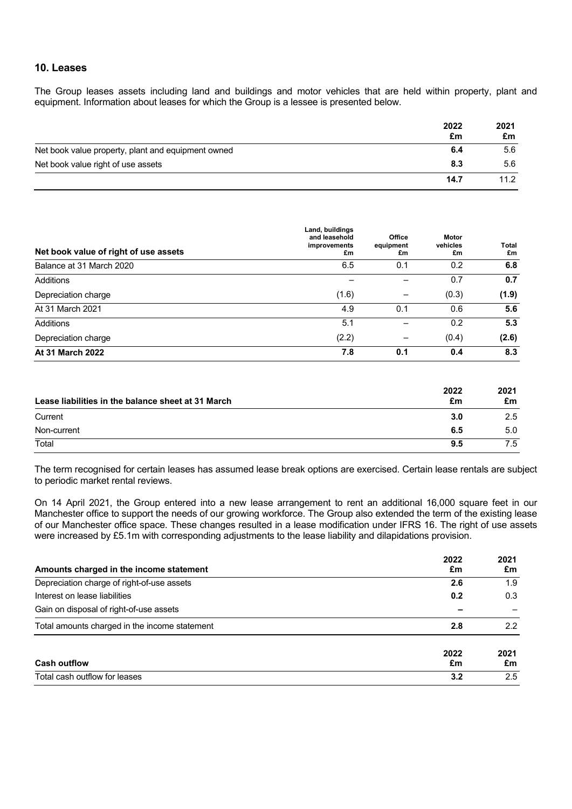## **10. Leases**

The Group leases assets including land and buildings and motor vehicles that are held within property, plant and equipment. Information about leases for which the Group is a lessee is presented below.

|                                                    | 2022<br>£m | 2021<br>£m        |
|----------------------------------------------------|------------|-------------------|
| Net book value property, plant and equipment owned | 6.4        | 5.6               |
| Net book value right of use assets                 | 8.3        | 5.6               |
|                                                    | 14.7       | 11.2 <sub>2</sub> |

| Net book value of right of use assets | Land, buildings<br>and leasehold<br>improvements<br>£m | Office<br>equipment<br>£m | Motor<br>vehicles<br>£m | Total<br>£m |
|---------------------------------------|--------------------------------------------------------|---------------------------|-------------------------|-------------|
| Balance at 31 March 2020              | 6.5                                                    | 0.1                       | 0.2                     | 6.8         |
| Additions                             |                                                        |                           | 0.7                     | 0.7         |
| Depreciation charge                   | (1.6)                                                  | —                         | (0.3)                   | (1.9)       |
| At 31 March 2021                      | 4.9                                                    | 0.1                       | 0.6                     | 5.6         |
| <b>Additions</b>                      | 5.1                                                    |                           | 0.2                     | 5.3         |
| Depreciation charge                   | (2.2)                                                  |                           | (0.4)                   | (2.6)       |
| <b>At 31 March 2022</b>               | 7.8                                                    | 0.1                       | 0.4                     | 8.3         |

| Lease liabilities in the balance sheet at 31 March | 2022<br>£m | 2021<br>£m |
|----------------------------------------------------|------------|------------|
| Current                                            | 3.0        | 2.5        |
| Non-current                                        | 6.5        | 5.0        |
| Total                                              | 9.5        |            |

The term recognised for certain leases has assumed lease break options are exercised. Certain lease rentals are subject to periodic market rental reviews.

On 14 April 2021, the Group entered into a new lease arrangement to rent an additional 16,000 square feet in our Manchester office to support the needs of our growing workforce. The Group also extended the term of the existing lease of our Manchester office space. These changes resulted in a lease modification under IFRS 16. The right of use assets were increased by £5.1m with corresponding adjustments to the lease liability and dilapidations provision.

| Amounts charged in the income statement       | 2022<br>£m | 2021<br>£m    |
|-----------------------------------------------|------------|---------------|
| Depreciation charge of right-of-use assets    | 2.6        | 1.9           |
| Interest on lease liabilities                 | 0.2        | 0.3           |
| Gain on disposal of right-of-use assets       |            |               |
| Total amounts charged in the income statement | 2.8        | $2.2^{\circ}$ |
| <b>Cash outflow</b>                           | 2022<br>£m | 2021<br>£m    |
| Total cash outflow for leases                 | 3.2        | 2.5           |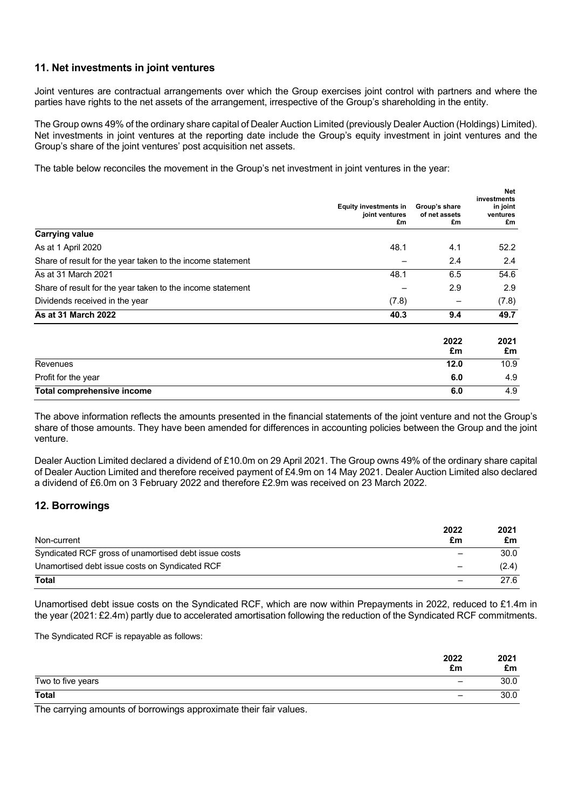## **11. Net investments in joint ventures**

Joint ventures are contractual arrangements over which the Group exercises joint control with partners and where the parties have rights to the net assets of the arrangement, irrespective of the Group's shareholding in the entity.

The Group owns 49% of the ordinary share capital of Dealer Auction Limited (previously Dealer Auction (Holdings) Limited). Net investments in joint ventures at the reporting date include the Group's equity investment in joint ventures and the Group's share of the joint ventures' post acquisition net assets.

The table below reconciles the movement in the Group's net investment in joint ventures in the year:

|                                                            | <b>Equity investments in</b><br>joint ventures<br>£m | Group's share<br>of net assets<br>£m | <b>Net</b><br>investments<br>in joint<br>ventures<br>£m |
|------------------------------------------------------------|------------------------------------------------------|--------------------------------------|---------------------------------------------------------|
| <b>Carrying value</b>                                      |                                                      |                                      |                                                         |
| As at 1 April 2020                                         | 48.1                                                 | 4.1                                  | 52.2                                                    |
| Share of result for the year taken to the income statement |                                                      | 2.4                                  | 2.4                                                     |
| As at 31 March 2021                                        | 48.1                                                 | 6.5                                  | 54.6                                                    |
| Share of result for the year taken to the income statement |                                                      | 2.9                                  | 2.9                                                     |
| Dividends received in the year                             | (7.8)                                                | -                                    | (7.8)                                                   |
| As at 31 March 2022                                        | 40.3                                                 | 9.4                                  | 49.7                                                    |
|                                                            |                                                      | 2022<br>£m                           | 2021<br>£m                                              |
| Revenues                                                   |                                                      | 12.0                                 | 10.9                                                    |
| Profit for the year                                        |                                                      | 6.0                                  | 4.9                                                     |
| <b>Total comprehensive income</b>                          |                                                      | 6.0                                  | 4.9                                                     |

The above information reflects the amounts presented in the financial statements of the joint venture and not the Group's share of those amounts. They have been amended for differences in accounting policies between the Group and the joint venture.

Dealer Auction Limited declared a dividend of £10.0m on 29 April 2021. The Group owns 49% of the ordinary share capital of Dealer Auction Limited and therefore received payment of £4.9m on 14 May 2021. Dealer Auction Limited also declared a dividend of £6.0m on 3 February 2022 and therefore £2.9m was received on 23 March 2022.

## **12. Borrowings**

| Non-current                                          | 2022<br>£m | 2021<br>£m |
|------------------------------------------------------|------------|------------|
| Syndicated RCF gross of unamortised debt issue costs |            | 30.0       |
| Unamortised debt issue costs on Syndicated RCF       |            | (2.4)      |
| <b>Total</b>                                         |            | 27.6       |

Unamortised debt issue costs on the Syndicated RCF, which are now within Prepayments in 2022, reduced to £1.4m in the year (2021: £2.4m) partly due to accelerated amortisation following the reduction of the Syndicated RCF commitments.

The Syndicated RCF is repayable as follows:

|                   | 2022<br>£m                   | 2021<br>£m |
|-------------------|------------------------------|------------|
| Two to five years | $\qquad \qquad \blacksquare$ | 30.0       |
| <b>Total</b>      | -                            | 30.0       |

The carrying amounts of borrowings approximate their fair values.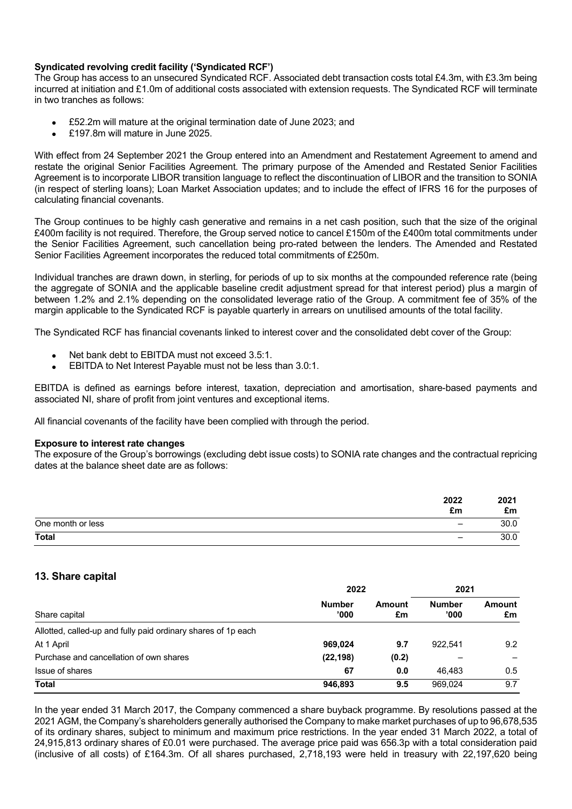### **Syndicated revolving credit facility ('Syndicated RCF')**

The Group has access to an unsecured Syndicated RCF. Associated debt transaction costs total £4.3m, with £3.3m being incurred at initiation and £1.0m of additional costs associated with extension requests. The Syndicated RCF will terminate in two tranches as follows:

- £52.2m will mature at the original termination date of June 2023; and
- £197.8m will mature in June 2025.

With effect from 24 September 2021 the Group entered into an Amendment and Restatement Agreement to amend and restate the original Senior Facilities Agreement. The primary purpose of the Amended and Restated Senior Facilities Agreement is to incorporate LIBOR transition language to reflect the discontinuation of LIBOR and the transition to SONIA (in respect of sterling loans); Loan Market Association updates; and to include the effect of IFRS 16 for the purposes of calculating financial covenants.

The Group continues to be highly cash generative and remains in a net cash position, such that the size of the original £400m facility is not required. Therefore, the Group served notice to cancel £150m of the £400m total commitments under the Senior Facilities Agreement, such cancellation being pro-rated between the lenders. The Amended and Restated Senior Facilities Agreement incorporates the reduced total commitments of £250m.

Individual tranches are drawn down, in sterling, for periods of up to six months at the compounded reference rate (being the aggregate of SONIA and the applicable baseline credit adjustment spread for that interest period) plus a margin of between 1.2% and 2.1% depending on the consolidated leverage ratio of the Group. A commitment fee of 35% of the margin applicable to the Syndicated RCF is payable quarterly in arrears on unutilised amounts of the total facility.

The Syndicated RCF has financial covenants linked to interest cover and the consolidated debt cover of the Group:

- Net bank debt to EBITDA must not exceed 3.5:1.
- EBITDA to Net Interest Payable must not be less than 3.0:1.

EBITDA is defined as earnings before interest, taxation, depreciation and amortisation, share-based payments and associated NI, share of profit from joint ventures and exceptional items.

All financial covenants of the facility have been complied with through the period.

#### **Exposure to interest rate changes**

The exposure of the Group's borrowings (excluding debt issue costs) to SONIA rate changes and the contractual repricing dates at the balance sheet date are as follows:

|                   | 2022<br>£m               | 2021<br>£m |
|-------------------|--------------------------|------------|
| One month or less | -                        | 30.0       |
| <b>Total</b>      | $\overline{\phantom{0}}$ | 30.0       |

## **13. Share capital**

| Share capital                                                 | 2022                   |              | 2021                   |              |
|---------------------------------------------------------------|------------------------|--------------|------------------------|--------------|
|                                                               | <b>Number</b><br>'000' | Amount<br>£m | <b>Number</b><br>'000' | Amount<br>£m |
| Allotted, called-up and fully paid ordinary shares of 1p each |                        |              |                        |              |
| At 1 April                                                    | 969,024                | 9.7          | 922.541                | 9.2          |
| Purchase and cancellation of own shares                       | (22, 198)              | (0.2)        |                        |              |
| Issue of shares                                               | 67                     | 0.0          | 46.483                 | 0.5          |
| <b>Total</b>                                                  | 946.893                | 9.5          | 969.024                | 9.7          |

In the year ended 31 March 2017, the Company commenced a share buyback programme. By resolutions passed at the 2021 AGM, the Company's shareholders generally authorised the Company to make market purchases of up to 96,678,535 of its ordinary shares, subject to minimum and maximum price restrictions. In the year ended 31 March 2022, a total of 24,915,813 ordinary shares of £0.01 were purchased. The average price paid was 656.3p with a total consideration paid (inclusive of all costs) of £164.3m. Of all shares purchased, 2,718,193 were held in treasury with 22,197,620 being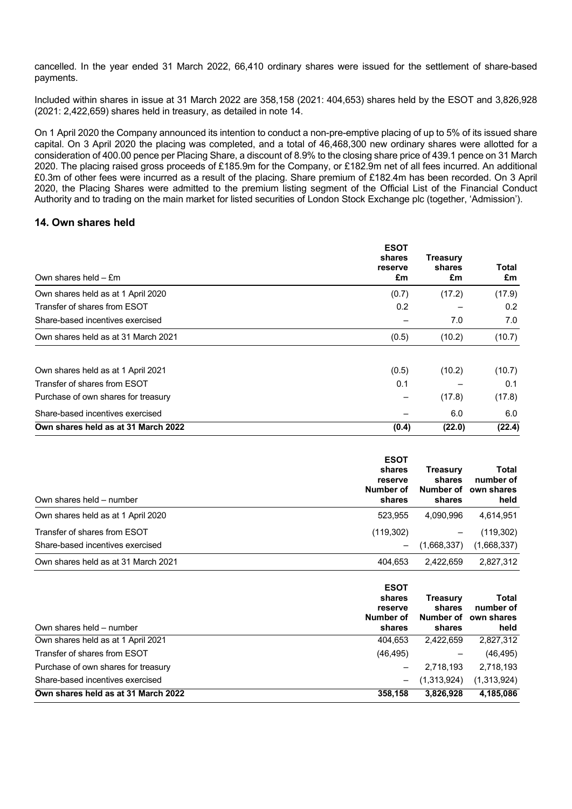cancelled. In the year ended 31 March 2022, 66,410 ordinary shares were issued for the settlement of share-based payments.

Included within shares in issue at 31 March 2022 are 358,158 (2021: 404,653) shares held by the ESOT and 3,826,928 (2021: 2,422,659) shares held in treasury, as detailed in note 14.

On 1 April 2020 the Company announced its intention to conduct a non-pre-emptive placing of up to 5% of its issued share capital. On 3 April 2020 the placing was completed, and a total of 46,468,300 new ordinary shares were allotted for a consideration of 400.00 pence per Placing Share, a discount of 8.9% to the closing share price of 439.1 pence on 31 March 2020. The placing raised gross proceeds of £185.9m for the Company, or £182.9m net of all fees incurred. An additional £0.3m of other fees were incurred as a result of the placing. Share premium of £182.4m has been recorded. On 3 April 2020, the Placing Shares were admitted to the premium listing segment of the Official List of the Financial Conduct Authority and to trading on the main market for listed securities of London Stock Exchange plc (together, 'Admission').

## **14. Own shares held**

| Own shares held $-$ £m              | <b>ESOT</b><br>shares<br>reserve<br>£m | Treasury<br>shares<br>£m | Total<br>£m |
|-------------------------------------|----------------------------------------|--------------------------|-------------|
| Own shares held as at 1 April 2020  | (0.7)                                  | (17.2)                   | (17.9)      |
| Transfer of shares from ESOT        | 0.2                                    |                          | 0.2         |
| Share-based incentives exercised    |                                        | 7.0                      | 7.0         |
| Own shares held as at 31 March 2021 | (0.5)                                  | (10.2)                   | (10.7)      |
| Own shares held as at 1 April 2021  | (0.5)                                  | (10.2)                   | (10.7)      |
| Transfer of shares from ESOT        | 0.1                                    |                          | 0.1         |
| Purchase of own shares for treasury |                                        | (17.8)                   | (17.8)      |
| Share-based incentives exercised    |                                        | 6.0                      | 6.0         |
| Own shares held as at 31 March 2022 | (0.4)                                  | (22.0)                   | (22.4)      |

| Own shares held – number            | <b>ESOT</b><br>shares<br>reserve<br>Number of<br>shares | Treasurv<br>shares<br>Number of<br>shares | Total<br>number of<br>own shares<br>held |
|-------------------------------------|---------------------------------------------------------|-------------------------------------------|------------------------------------------|
| Own shares held as at 1 April 2020  | 523.955                                                 | 4,090,996                                 | 4,614,951                                |
| Transfer of shares from ESOT        | (119, 302)                                              | $\qquad \qquad -$                         | (119, 302)                               |
| Share-based incentives exercised    | $\qquad \qquad -$                                       | (1,668,337)                               | (1,668,337)                              |
| Own shares held as at 31 March 2021 | 404.653                                                 | 2.422.659                                 | 2,827,312                                |

| Own shares held – number            | <b>ESOT</b><br>shares<br>reserve<br>Number of<br>shares | Treasury<br>shares<br>Number of<br>shares | Total<br>number of<br>own shares<br>held |
|-------------------------------------|---------------------------------------------------------|-------------------------------------------|------------------------------------------|
| Own shares held as at 1 April 2021  | 404,653                                                 | 2.422.659                                 | 2,827,312                                |
| Transfer of shares from ESOT        | (46, 495)                                               |                                           | (46, 495)                                |
| Purchase of own shares for treasury |                                                         | 2,718,193                                 | 2,718,193                                |
| Share-based incentives exercised    | $-$                                                     | (1,313,924)                               | (1,313,924)                              |
| Own shares held as at 31 March 2022 | 358,158                                                 | 3,826,928                                 | 4,185,086                                |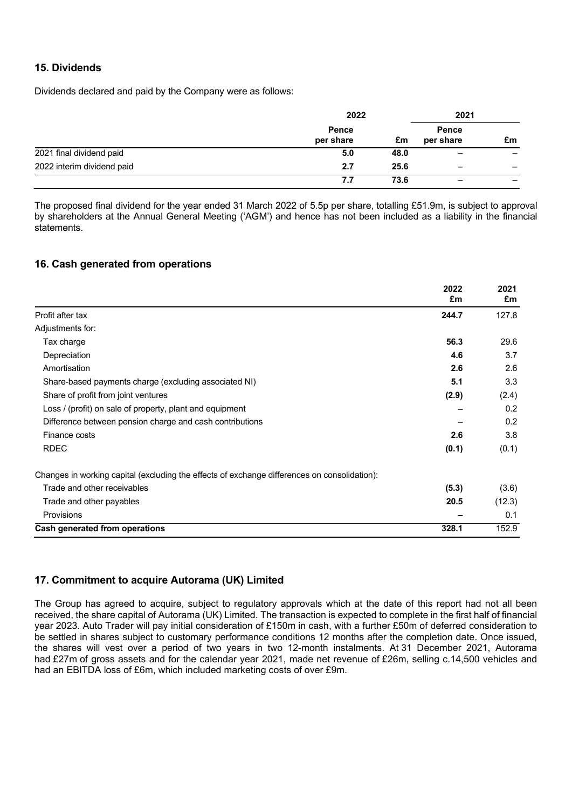## **15. Dividends**

Dividends declared and paid by the Company were as follows:

|                            | 2022               |      | 2021                     |    |
|----------------------------|--------------------|------|--------------------------|----|
|                            | Pence<br>per share | £m   | Pence<br>per share       | £m |
| 2021 final dividend paid   | 5.0                | 48.0 | $\overline{\phantom{0}}$ |    |
| 2022 interim dividend paid | 2.7                | 25.6 | -                        |    |
|                            | 7.7                | 73.6 | -                        |    |

The proposed final dividend for the year ended 31 March 2022 of 5.5p per share, totalling £51.9m, is subject to approval by shareholders at the Annual General Meeting ('AGM') and hence has not been included as a liability in the financial statements.

## **16. Cash generated from operations**

|                                                                                              | 2022<br>£m | 2021<br>£m |
|----------------------------------------------------------------------------------------------|------------|------------|
| Profit after tax                                                                             | 244.7      | 127.8      |
| Adjustments for:                                                                             |            |            |
| Tax charge                                                                                   | 56.3       | 29.6       |
| Depreciation                                                                                 | 4.6        | 3.7        |
| Amortisation                                                                                 | 2.6        | 2.6        |
| Share-based payments charge (excluding associated NI)                                        | 5.1        | 3.3        |
| Share of profit from joint ventures                                                          | (2.9)      | (2.4)      |
| Loss / (profit) on sale of property, plant and equipment                                     |            | 0.2        |
| Difference between pension charge and cash contributions                                     |            | 0.2        |
| Finance costs                                                                                | 2.6        | 3.8        |
| <b>RDEC</b>                                                                                  | (0.1)      | (0.1)      |
| Changes in working capital (excluding the effects of exchange differences on consolidation): |            |            |
| Trade and other receivables                                                                  | (5.3)      | (3.6)      |
| Trade and other payables                                                                     | 20.5       | (12.3)     |
| Provisions                                                                                   |            | 0.1        |
| Cash generated from operations                                                               | 328.1      | 152.9      |

## **17. Commitment to acquire Autorama (UK) Limited**

The Group has agreed to acquire, subject to regulatory approvals which at the date of this report had not all been received, the share capital of Autorama (UK) Limited. The transaction is expected to complete in the first half of financial year 2023. Auto Trader will pay initial consideration of £150m in cash, with a further £50m of deferred consideration to be settled in shares subject to customary performance conditions 12 months after the completion date. Once issued, the shares will vest over a period of two years in two 12-month instalments. At 31 December 2021, Autorama had £27m of gross assets and for the calendar year 2021, made net revenue of £26m, selling c.14,500 vehicles and had an EBITDA loss of £6m, which included marketing costs of over £9m.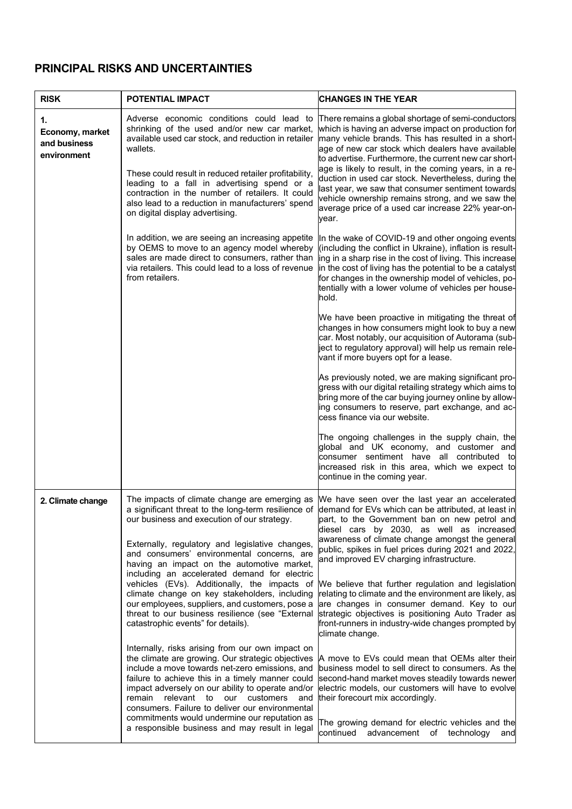# **PRINCIPAL RISKS AND UNCERTAINTIES**

| <b>RISK</b>                                          | POTENTIAL IMPACT                                                                                                                                                                                                                                                                                                                                                                                                                                                                                                                                                                                 | <b>CHANGES IN THE YEAR</b>                                                                                                                                                                                                                                                                                                                                                                                                                                                                                                                                                                                                                             |
|------------------------------------------------------|--------------------------------------------------------------------------------------------------------------------------------------------------------------------------------------------------------------------------------------------------------------------------------------------------------------------------------------------------------------------------------------------------------------------------------------------------------------------------------------------------------------------------------------------------------------------------------------------------|--------------------------------------------------------------------------------------------------------------------------------------------------------------------------------------------------------------------------------------------------------------------------------------------------------------------------------------------------------------------------------------------------------------------------------------------------------------------------------------------------------------------------------------------------------------------------------------------------------------------------------------------------------|
| 1.<br>Economy, market<br>and business<br>environment | Adverse economic conditions could lead to<br>shrinking of the used and/or new car market,<br>available used car stock, and reduction in retailer<br>wallets.<br>These could result in reduced retailer profitability,<br>leading to a fall in advertising spend or a<br>contraction in the number of retailers. It could<br>also lead to a reduction in manufacturers' spend<br>on digital display advertising.                                                                                                                                                                                  | There remains a global shortage of semi-conductors<br>which is having an adverse impact on production for<br>many vehicle brands. This has resulted in a short-<br>age of new car stock which dealers have available<br>to advertise. Furthermore, the current new car short-<br>age is likely to result, in the coming years, in a re-<br>duction in used car stock. Nevertheless, during the<br>last year, we saw that consumer sentiment towards<br>vehicle ownership remains strong, and we saw the<br>average price of a used car increase 22% year-on-<br>vear.                                                                                  |
|                                                      | In addition, we are seeing an increasing appetite<br>by OEMS to move to an agency model whereby<br>sales are made direct to consumers, rather than<br>via retailers. This could lead to a loss of revenue<br>from retailers.                                                                                                                                                                                                                                                                                                                                                                     | In the wake of COVID-19 and other ongoing events<br>(including the conflict in Ukraine), inflation is result-<br>ing in a sharp rise in the cost of living. This increase<br>in the cost of living has the potential to be a catalyst<br>for changes in the ownership model of vehicles, po-<br>tentially with a lower volume of vehicles per house-<br>hold.                                                                                                                                                                                                                                                                                          |
|                                                      |                                                                                                                                                                                                                                                                                                                                                                                                                                                                                                                                                                                                  | We have been proactive in mitigating the threat of<br>changes in how consumers might look to buy a new<br>car. Most notably, our acquisition of Autorama (sub-<br>ject to regulatory approval) will help us remain rele-<br>vant if more buyers opt for a lease.                                                                                                                                                                                                                                                                                                                                                                                       |
|                                                      |                                                                                                                                                                                                                                                                                                                                                                                                                                                                                                                                                                                                  | As previously noted, we are making significant pro-<br>gress with our digital retailing strategy which aims to<br>bring more of the car buying journey online by allow-<br>ling consumers to reserve, part exchange, and ac-<br>cess finance via our website.                                                                                                                                                                                                                                                                                                                                                                                          |
|                                                      |                                                                                                                                                                                                                                                                                                                                                                                                                                                                                                                                                                                                  | The ongoing challenges in the supply chain, the<br>global and UK economy, and customer and<br>consumer sentiment have all contributed to<br>increased risk in this area, which we expect to<br>continue in the coming year.                                                                                                                                                                                                                                                                                                                                                                                                                            |
| 2. Climate change                                    | The impacts of climate change are emerging as<br>a significant threat to the long-term resilience of<br>our business and execution of our strategy.<br>Externally, regulatory and legislative changes,<br>and consumers' environmental concerns, are<br>having an impact on the automotive market,<br>including an accelerated demand for electric<br>vehicles (EVs). Additionally, the impacts of<br>climate change on key stakeholders, including<br>our employees, suppliers, and customers, pose a<br>threat to our business resilience (see "External<br>catastrophic events" for details). | We have seen over the last year an accelerated<br>demand for EVs which can be attributed, at least in<br>part, to the Government ban on new petrol and<br>diesel cars by 2030, as well as increased<br>awareness of climate change amongst the general<br>public, spikes in fuel prices during 2021 and 2022,<br>and improved EV charging infrastructure.<br>We believe that further regulation and legislation<br>relating to climate and the environment are likely, as<br>are changes in consumer demand. Key to our<br>strategic objectives is positioning Auto Trader as<br>front-runners in industry-wide changes prompted by<br>climate change. |
|                                                      | Internally, risks arising from our own impact on<br>the climate are growing. Our strategic objectives<br>include a move towards net-zero emissions, and<br>failure to achieve this in a timely manner could<br>impact adversely on our ability to operate and/or<br>remain relevant to our customers<br>and<br>consumers. Failure to deliver our environmental<br>commitments would undermine our reputation as<br>a responsible business and may result in legal                                                                                                                                | A move to EVs could mean that OEMs alter their<br>business model to sell direct to consumers. As the<br>second-hand market moves steadily towards newer<br>electric models, our customers will have to evolve<br>their forecourt mix accordingly.<br>The growing demand for electric vehicles and the<br>continued<br>advancement of technology<br>and                                                                                                                                                                                                                                                                                                 |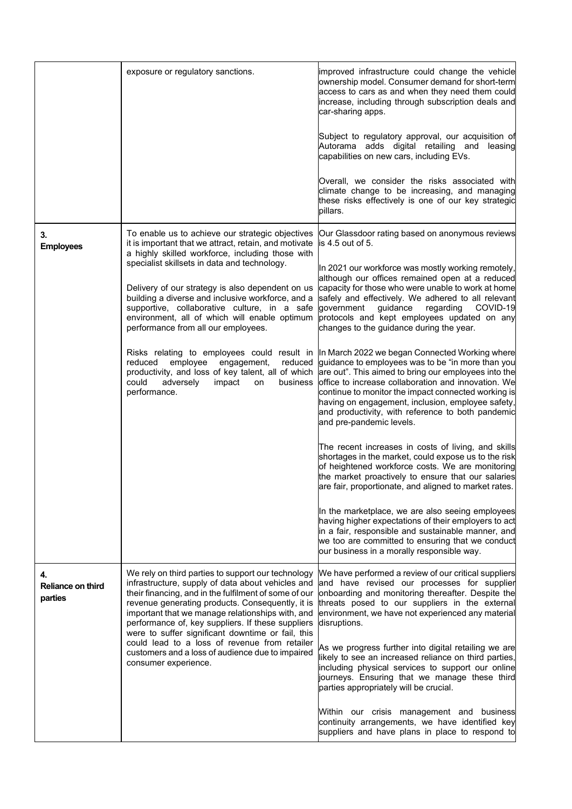|                                           | exposure or regulatory sanctions.                                                                                                                                                                                                                                                                                                                                                                                                                                                                                                                                                                                                       | improved infrastructure could change the vehicle<br>ownership model. Consumer demand for short-term<br>access to cars as and when they need them could<br>increase, including through subscription deals and<br>car-sharing apps.<br>Subject to regulatory approval, our acquisition of<br>Autorama adds digital retailing and leasing<br>capabilities on new cars, including EVs.<br>Overall, we consider the risks associated with<br>climate change to be increasing, and managing<br>these risks effectively is one of our key strategic<br>pillars.                                                                                                                                                                                                                                                                                                                                                                                                                                                                                                                                                                                                                                                                                                                                                                                                                                                                                                       |
|-------------------------------------------|-----------------------------------------------------------------------------------------------------------------------------------------------------------------------------------------------------------------------------------------------------------------------------------------------------------------------------------------------------------------------------------------------------------------------------------------------------------------------------------------------------------------------------------------------------------------------------------------------------------------------------------------|----------------------------------------------------------------------------------------------------------------------------------------------------------------------------------------------------------------------------------------------------------------------------------------------------------------------------------------------------------------------------------------------------------------------------------------------------------------------------------------------------------------------------------------------------------------------------------------------------------------------------------------------------------------------------------------------------------------------------------------------------------------------------------------------------------------------------------------------------------------------------------------------------------------------------------------------------------------------------------------------------------------------------------------------------------------------------------------------------------------------------------------------------------------------------------------------------------------------------------------------------------------------------------------------------------------------------------------------------------------------------------------------------------------------------------------------------------------|
| 3.<br><b>Employees</b>                    | To enable us to achieve our strategic objectives<br>it is important that we attract, retain, and motivate<br>a highly skilled workforce, including those with<br>specialist skillsets in data and technology.<br>Delivery of our strategy is also dependent on us<br>building a diverse and inclusive workforce, and a<br>supportive, collaborative culture, in a safe<br>environment, all of which will enable optimum<br>performance from all our employees.<br>reduced<br>employee<br>engagement,<br>reduced<br>productivity, and loss of key talent, all of which<br>could<br>adversely<br>impact<br>business<br>on<br>performance. | Our Glassdoor rating based on anonymous reviews<br>$is 4.5$ out of 5.<br>In 2021 our workforce was mostly working remotely,<br>although our offices remained open at a reduced<br>capacity for those who were unable to work at home<br>safely and effectively. We adhered to all relevant<br>government<br>guidance<br>regarding<br>COVID-19<br>protocols and kept employees updated on any<br>changes to the guidance during the year.<br>Risks relating to employees could result in  In March 2022 we began Connected Working where<br>guidance to employees was to be "in more than you<br>are out". This aimed to bring our employees into the<br>office to increase collaboration and innovation. We<br>continue to monitor the impact connected working is<br>having on engagement, inclusion, employee safety,<br>and productivity, with reference to both pandemic<br>and pre-pandemic levels.<br>The recent increases in costs of living, and skills<br>shortages in the market, could expose us to the risk<br>of heightened workforce costs. We are monitoring<br>the market proactively to ensure that our salaries<br>are fair, proportionate, and aligned to market rates.<br>In the marketplace, we are also seeing employees<br>having higher expectations of their employers to act<br>in a fair, responsible and sustainable manner, and<br>we too are committed to ensuring that we conduct<br>our business in a morally responsible way. |
| 4.<br><b>Reliance on third</b><br>parties | We rely on third parties to support our technology<br>infrastructure, supply of data about vehicles and<br>their financing, and in the fulfilment of some of our<br>revenue generating products. Consequently, it is<br>important that we manage relationships with, and<br>performance of, key suppliers. If these suppliers<br>were to suffer significant downtime or fail, this<br>could lead to a loss of revenue from retailer<br>customers and a loss of audience due to impaired<br>consumer experience.                                                                                                                         | We have performed a review of our critical suppliers<br>and have revised our processes for supplier<br>onboarding and monitoring thereafter. Despite the<br>threats posed to our suppliers in the external<br>environment, we have not experienced any material<br>disruptions.<br>As we progress further into digital retailing we are<br>likely to see an increased reliance on third parties,<br>including physical services to support our online<br>journeys. Ensuring that we manage these third<br>parties appropriately will be crucial.<br>Within our crisis management and business<br>continuity arrangements, we have identified key<br>suppliers and have plans in place to respond to                                                                                                                                                                                                                                                                                                                                                                                                                                                                                                                                                                                                                                                                                                                                                            |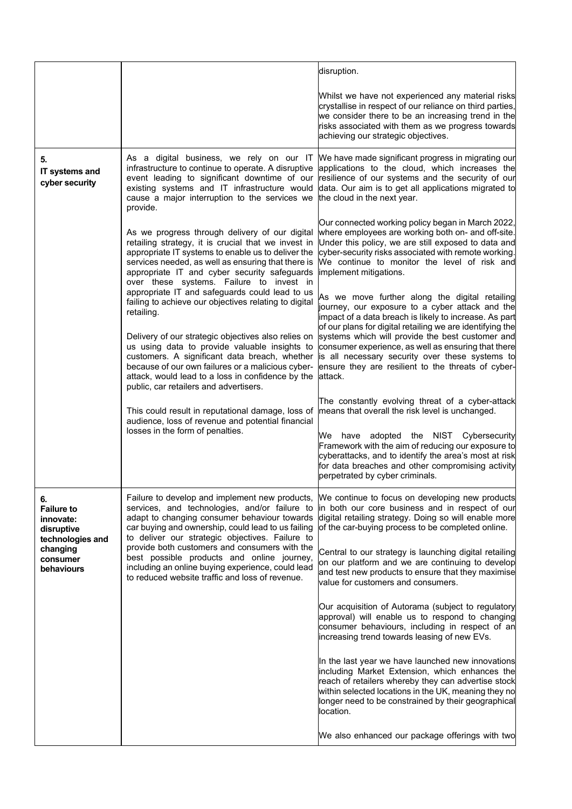|                                                                                                                                                                                                                                           |                                                                                                                                                                                                                                                                                                               | disruption.                                                                                                                                                                                                                                                                                      |
|-------------------------------------------------------------------------------------------------------------------------------------------------------------------------------------------------------------------------------------------|---------------------------------------------------------------------------------------------------------------------------------------------------------------------------------------------------------------------------------------------------------------------------------------------------------------|--------------------------------------------------------------------------------------------------------------------------------------------------------------------------------------------------------------------------------------------------------------------------------------------------|
|                                                                                                                                                                                                                                           |                                                                                                                                                                                                                                                                                                               | Whilst we have not experienced any material risks<br>crystallise in respect of our reliance on third parties,<br>we consider there to be an increasing trend in the<br>risks associated with them as we progress towards<br>achieving our strategic objectives.                                  |
| 5.<br>IT systems and<br>cyber security                                                                                                                                                                                                    | As a digital business, we rely on our IT<br>infrastructure to continue to operate. A disruptive<br>event leading to significant downtime of our<br>existing systems and IT infrastructure would<br>cause a major interruption to the services we<br>provide.                                                  | We have made significant progress in migrating our<br>applications to the cloud, which increases the<br>resilience of our systems and the security of our<br>data. Our aim is to get all applications migrated to<br>the cloud in the next year.                                                 |
|                                                                                                                                                                                                                                           | As we progress through delivery of our digital<br>retailing strategy, it is crucial that we invest in<br>appropriate IT systems to enable us to deliver the<br>services needed, as well as ensuring that there is<br>appropriate IT and cyber security safeguards<br>over these systems. Failure to invest in | Our connected working policy began in March 2022,<br>where employees are working both on- and off-site.<br>Under this policy, we are still exposed to data and<br>cyber-security risks associated with remote working.<br>We continue to monitor the level of risk and<br>implement mitigations. |
|                                                                                                                                                                                                                                           | appropriate IT and safeguards could lead to us<br>failing to achieve our objectives relating to digital<br>retailing.                                                                                                                                                                                         | As we move further along the digital retailing<br>journey, our exposure to a cyber attack and the<br>limpact of a data breach is likely to increase. As part<br>of our plans for digital retailing we are identifying the                                                                        |
|                                                                                                                                                                                                                                           | Delivery of our strategic objectives also relies on<br>us using data to provide valuable insights to<br>customers. A significant data breach, whether<br>because of our own failures or a malicious cyber-<br>attack, would lead to a loss in confidence by the<br>public, car retailers and advertisers.     | systems which will provide the best customer and<br>consumer experience, as well as ensuring that there<br>is all necessary security over these systems to<br>ensure they are resilient to the threats of cyber-<br>lattack.                                                                     |
|                                                                                                                                                                                                                                           | This could result in reputational damage, loss of<br>audience, loss of revenue and potential financial<br>losses in the form of penalties.                                                                                                                                                                    | The constantly evolving threat of a cyber-attack<br>means that overall the risk level is unchanged.                                                                                                                                                                                              |
|                                                                                                                                                                                                                                           |                                                                                                                                                                                                                                                                                                               | have adopted the NIST Cybersecurity<br>We<br>Framework with the aim of reducing our exposure to<br>cyberattacks, and to identify the area's most at risk<br>for data breaches and other compromising activity<br>perpetrated by cyber criminals.                                                 |
| 6.<br><b>Failure to</b><br>innovate:<br>disruptive<br>technologies and                                                                                                                                                                    | Failure to develop and implement new products,<br>services, and technologies, and/or failure to<br>adapt to changing consumer behaviour towards<br>car buying and ownership, could lead to us failing<br>to deliver our strategic objectives. Failure to                                                      | We continue to focus on developing new products<br>in both our core business and in respect of our<br>digital retailing strategy. Doing so will enable more<br>of the car-buying process to be completed online.                                                                                 |
| provide both customers and consumers with the<br>changing<br>best possible products and online journey,<br>consumer<br>including an online buying experience, could lead<br>behaviours<br>to reduced website traffic and loss of revenue. | Central to our strategy is launching digital retailing<br>on our platform and we are continuing to develop<br>and test new products to ensure that they maximise<br>value for customers and consumers.                                                                                                        |                                                                                                                                                                                                                                                                                                  |
|                                                                                                                                                                                                                                           |                                                                                                                                                                                                                                                                                                               | Our acquisition of Autorama (subject to regulatory<br>approval) will enable us to respond to changing<br>consumer behaviours, including in respect of an<br>increasing trend towards leasing of new EVs.                                                                                         |
|                                                                                                                                                                                                                                           |                                                                                                                                                                                                                                                                                                               | In the last year we have launched new innovations<br>including Market Extension, which enhances the<br>reach of retailers whereby they can advertise stock<br>within selected locations in the UK, meaning they no<br>longer need to be constrained by their geographical<br>location.           |
|                                                                                                                                                                                                                                           |                                                                                                                                                                                                                                                                                                               | We also enhanced our package offerings with two                                                                                                                                                                                                                                                  |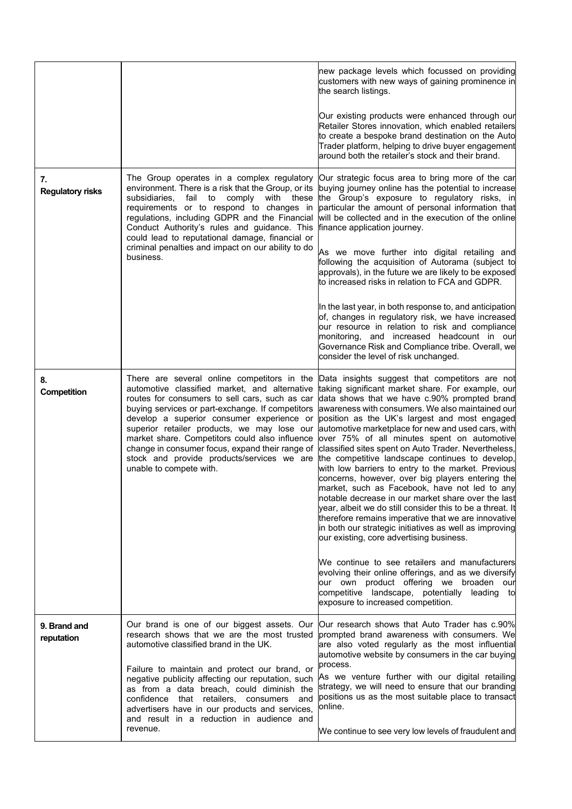|                               |                                                                                                                                                                                                                                                                                                                                                                                                                                                                              | new package levels which focussed on providing<br>customers with new ways of gaining prominence in<br>the search listings.                                                                                                                                                                                                                                                                                                                                                                                                                                                                                                                                                                                                                                                                                                                                                                                          |
|-------------------------------|------------------------------------------------------------------------------------------------------------------------------------------------------------------------------------------------------------------------------------------------------------------------------------------------------------------------------------------------------------------------------------------------------------------------------------------------------------------------------|---------------------------------------------------------------------------------------------------------------------------------------------------------------------------------------------------------------------------------------------------------------------------------------------------------------------------------------------------------------------------------------------------------------------------------------------------------------------------------------------------------------------------------------------------------------------------------------------------------------------------------------------------------------------------------------------------------------------------------------------------------------------------------------------------------------------------------------------------------------------------------------------------------------------|
|                               |                                                                                                                                                                                                                                                                                                                                                                                                                                                                              | Our existing products were enhanced through our<br>Retailer Stores innovation, which enabled retailers<br>to create a bespoke brand destination on the Auto<br>Trader platform, helping to drive buyer engagement<br>around both the retailer's stock and their brand.                                                                                                                                                                                                                                                                                                                                                                                                                                                                                                                                                                                                                                              |
| 7.<br><b>Regulatory risks</b> | The Group operates in a complex regulatory<br>environment. There is a risk that the Group, or its<br>subsidiaries.<br>fail<br>to<br>comply<br>with<br>these<br>requirements or to respond to changes in<br>regulations, including GDPR and the Financial<br>Conduct Authority's rules and guidance. This<br>could lead to reputational damage, financial or<br>criminal penalties and impact on our ability to do<br>business.                                               | Our strategic focus area to bring more of the car<br>buying journey online has the potential to increase<br>the Group's exposure to regulatory risks, in<br>particular the amount of personal information that<br>will be collected and in the execution of the online<br>finance application journey.                                                                                                                                                                                                                                                                                                                                                                                                                                                                                                                                                                                                              |
|                               |                                                                                                                                                                                                                                                                                                                                                                                                                                                                              | As we move further into digital retailing and<br>following the acquisition of Autorama (subject to<br>approvals), in the future we are likely to be exposed<br>to increased risks in relation to FCA and GDPR.                                                                                                                                                                                                                                                                                                                                                                                                                                                                                                                                                                                                                                                                                                      |
|                               |                                                                                                                                                                                                                                                                                                                                                                                                                                                                              | In the last year, in both response to, and anticipation<br>of, changes in regulatory risk, we have increased<br>our resource in relation to risk and compliance<br>monitoring, and increased headcount in our<br>Governance Risk and Compliance tribe. Overall, we<br>consider the level of risk unchanged.                                                                                                                                                                                                                                                                                                                                                                                                                                                                                                                                                                                                         |
| 8.<br>Competition             | There are several online competitors in the<br>automotive classified market, and alternative<br>routes for consumers to sell cars, such as car<br>buying services or part-exchange. If competitors<br>develop a superior consumer experience or<br>superior retailer products, we may lose our<br>market share. Competitors could also influence<br>change in consumer focus, expand their range of<br>stock and provide products/services we are<br>unable to compete with. | Data insights suggest that competitors are not<br>taking significant market share. For example, our<br>data shows that we have c.90% prompted brand<br>awareness with consumers. We also maintained our<br>position as the UK's largest and most engaged<br>automotive marketplace for new and used cars, with<br>over 75% of all minutes spent on automotive<br>classified sites spent on Auto Trader. Nevertheless,<br>the competitive landscape continues to develop,<br>with low barriers to entry to the market. Previous<br>concerns, however, over big players entering the<br>market, such as Facebook, have not led to any<br>notable decrease in our market share over the last<br>year, albeit we do still consider this to be a threat. It<br>therefore remains imperative that we are innovative<br>in both our strategic initiatives as well as improving<br>our existing, core advertising business. |
|                               |                                                                                                                                                                                                                                                                                                                                                                                                                                                                              | We continue to see retailers and manufacturers<br>evolving their online offerings, and as we diversify<br>our own product offering we broaden our<br>competitive landscape, potentially leading to<br>exposure to increased competition.                                                                                                                                                                                                                                                                                                                                                                                                                                                                                                                                                                                                                                                                            |
| 9. Brand and<br>reputation    | research shows that we are the most trusted<br>automotive classified brand in the UK.                                                                                                                                                                                                                                                                                                                                                                                        | Our brand is one of our biggest assets. Our  Our research shows that Auto Trader has c.90% <br>prompted brand awareness with consumers. We<br>are also voted regularly as the most influential<br>automotive website by consumers in the car buying                                                                                                                                                                                                                                                                                                                                                                                                                                                                                                                                                                                                                                                                 |
|                               | Failure to maintain and protect our brand, or<br>negative publicity affecting our reputation, such<br>as from a data breach, could diminish the<br>confidence<br>that retailers, consumers<br>and<br>advertisers have in our products and services,<br>and result in a reduction in audience and                                                                                                                                                                             | process.<br>As we venture further with our digital retailing<br>strategy, we will need to ensure that our branding<br>positions us as the most suitable place to transact<br>online.                                                                                                                                                                                                                                                                                                                                                                                                                                                                                                                                                                                                                                                                                                                                |
|                               | revenue.                                                                                                                                                                                                                                                                                                                                                                                                                                                                     | We continue to see very low levels of fraudulent and                                                                                                                                                                                                                                                                                                                                                                                                                                                                                                                                                                                                                                                                                                                                                                                                                                                                |